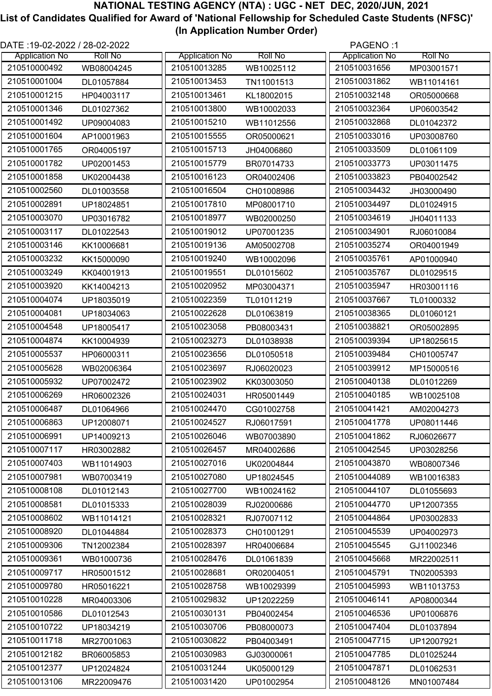| DATE :19-02-2022 / 28-02-2022 |                |                       |                | PAGENO:1              |                |
|-------------------------------|----------------|-----------------------|----------------|-----------------------|----------------|
| <b>Application No</b>         | <b>Roll No</b> | <b>Application No</b> | <b>Roll No</b> | <b>Application No</b> | <b>Roll No</b> |
| 210510000492                  | WB08004245     | 210510013285          | WB10025112     | 210510031656          | MP03001571     |
| 210510001004                  | DL01057884     | 210510013453          | TN11001513     | 210510031862          | WB11014161     |
| 210510001215                  | HP04003117     | 210510013461          | KL18002015     | 210510032148          | OR05000668     |
| 210510001346                  | DL01027362     | 210510013800          | WB10002033     | 210510032364          | UP06003542     |
| 210510001492                  | UP09004083     | 210510015210          | WB11012556     | 210510032868          | DL01042372     |
| 210510001604                  | AP10001963     | 210510015555          | OR05000621     | 210510033016          | UP03008760     |
| 210510001765                  | OR04005197     | 210510015713          | JH04006860     | 210510033509          | DL01061109     |
| 210510001782                  | UP02001453     | 210510015779          | BR07014733     | 210510033773          | UP03011475     |
| 210510001858                  | UK02004438     | 210510016123          | OR04002406     | 210510033823          | PB04002542     |
| 210510002560                  | DL01003558     | 210510016504          | CH01008986     | 210510034432          | JH03000490     |
| 210510002891                  | UP18024851     | 210510017810          | MP08001710     | 210510034497          | DL01024915     |
| 210510003070                  | UP03016782     | 210510018977          | WB02000250     | 210510034619          | JH04011133     |
| 210510003117                  | DL01022543     | 210510019012          | UP07001235     | 210510034901          | RJ06010084     |
| 210510003146                  | KK10006681     | 210510019136          | AM05002708     | 210510035274          | OR04001949     |
| 210510003232                  | KK15000090     | 210510019240          | WB10002096     | 210510035761          | AP01000940     |
| 210510003249                  | KK04001913     | 210510019551          | DL01015602     | 210510035767          | DL01029515     |
| 210510003920                  | KK14004213     | 210510020952          | MP03004371     | 210510035947          | HR03001116     |
| 210510004074                  | UP18035019     | 210510022359          | TL01011219     | 210510037667          | TL01000332     |
| 210510004081                  | UP18034063     | 210510022628          | DL01063819     | 210510038365          | DL01060121     |
| 210510004548                  | UP18005417     | 210510023058          | PB08003431     | 210510038821          | OR05002895     |
| 210510004874                  | KK10004939     | 210510023273          | DL01038938     | 210510039394          | UP18025615     |
| 210510005537                  | HP06000311     | 210510023656          | DL01050518     | 210510039484          | CH01005747     |
| 210510005628                  | WB02006364     | 210510023697          | RJ06020023     | 210510039912          | MP15000516     |
| 210510005932                  | UP07002472     | 210510023902          | KK03003050     | 210510040138          | DL01012269     |
| 210510006269                  | HR06002326     | 210510024031          | HR05001449     | 210510040185          | WB10025108     |
| 210510006487                  | DL01064966     | 210510024470          | CG01002758     | 210510041421          | AM02004273     |
| 210510006863                  | UP12008071     | 210510024527          | RJ06017591     | 210510041778          | UP08011446     |
| 210510006991                  | UP14009213     | 210510026046          | WB07003890     | 210510041862          | RJ06026677     |
| 210510007117                  | HR03002882     | 210510026457          | MR04002686     | 210510042545          | UP03028256     |
| 210510007403                  | WB11014903     | 210510027016          | UK02004844     | 210510043870          | WB08007346     |
| 210510007981                  | WB07003419     | 210510027080          | UP18024545     | 210510044089          | WB10016383     |
| 210510008108                  | DL01012143     | 210510027700          | WB10024162     | 210510044107          | DL01055693     |
| 210510008581                  | DL01015333     | 210510028039          | RJ02000686     | 210510044770          | UP12007355     |
| 210510008602                  | WB11014121     | 210510028321          | RJ07007112     | 210510044864          | UP03002833     |
| 210510008920                  | DL01044884     | 210510028373          | CH01001291     | 210510045539          | UP04002973     |
| 210510009306                  | TN12002384     | 210510028397          | HR04006684     | 210510045545          | GJ11002346     |
| 210510009361                  | WB01000736     | 210510028476          | DL01061839     | 210510045668          | MR22002511     |
| 210510009717                  | HR05001512     | 210510028681          | OR02004051     | 210510045791          | TN02005393     |
| 210510009780                  | HR05016221     | 210510028758          | WB10029399     | 210510045993          | WB11013753     |
| 210510010228                  | MR04003306     | 210510029832          | UP12022259     | 210510046141          | AP08000344     |
| 210510010586                  | DL01012543     | 210510030131          | PB04002454     | 210510046536          | UP01006876     |
| 210510010722                  | UP18034219     | 210510030706          | PB08000073     | 210510047404          | DL01037894     |
| 210510011718                  | MR27001063     | 210510030822          | PB04003491     | 210510047715          | UP12007921     |
| 210510012182                  | BR06005853     | 210510030983          | GJ03000061     | 210510047785          | DL01025244     |
| 210510012377                  | UP12024824     | 210510031244          | UK05000129     | 210510047871          | DL01062531     |
| 210510013106                  | MR22009476     | 210510031420          | UP01002954     | 210510048126          | MN01007484     |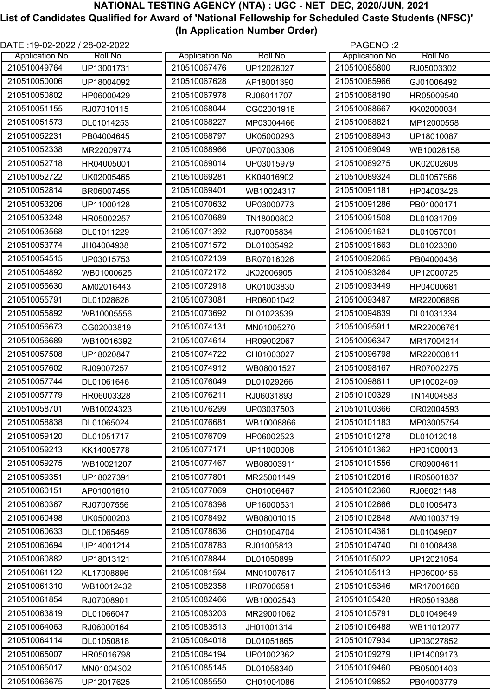| 210510049764<br>210510067476<br>210510085800<br>UP13001731<br>UP12026027<br>RJ05003302<br>210510050006<br>210510085966<br>210510067628<br>UP18004092<br>GJ01006492<br>AP18001390<br>210510050802<br>210510067978<br>210510088190<br>RJ06011707<br>HR05009540<br>HP06000429<br>210510051155<br>210510068044<br>210510088667<br>RJ07010115<br>CG02001918<br>KK02000034<br>210510088821<br>210510051573<br>210510068227<br>MP03004466<br>DL01014253<br>MP12000558<br>210510052231<br>210510068797<br>210510088943<br>PB04004645<br>UK05000293<br>UP18010087<br>210510052338<br>210510068966<br>210510089049<br>MR22009774<br>UP07003308<br>WB10028158<br>210510052718<br>210510069014<br>210510089275<br>HR04005001<br>UP03015979<br>UK02002608<br>210510069281<br>210510089324<br>210510052722<br>UK02005465<br>KK04016902<br>DL01057966<br>210510052814<br>210510069401<br>210510091181<br>WB10024317<br>BR06007455<br>HP04003426<br>210510053206<br>210510070632<br>210510091286<br>UP11000128<br>UP03000773<br>PB01000171<br>210510053248<br>210510070689<br>210510091508<br>HR05002257<br>TN18000802<br>DL01031709<br>210510091621<br>210510053568<br>210510071392<br>DL01011229<br>RJ07005834<br>DL01057001<br>210510053774<br>210510071572<br>210510091663<br>DL01035492<br>JH04004938<br>DL01023380<br>210510054515<br>210510072139<br>210510092065<br>UP03015753<br>BR07016026<br>PB04000436<br>210510054892<br>210510072172<br>210510093264<br>WB01000625<br>JK02006905<br>UP12000725<br>210510093449<br>210510055630<br>210510072918<br>AM02016443<br>UK01003830<br>HP04000681<br>210510055791<br>210510073081<br>210510093487<br>DL01028626<br>HR06001042<br>MR22006896<br>210510055892<br>210510073692<br>210510094839<br>DL01023539<br>WB10005556<br>DL01031334<br>210510056673<br>210510074131<br>210510095911<br>CG02003819<br>MN01005270<br>MR22006761<br>210510056689<br>210510074614<br>210510096347<br>WB10016392<br>HR09002067<br>MR17004214<br>210510057508<br>210510074722<br>210510096798<br>MR22003811<br>UP18020847<br>CH01003027<br>210510057602<br>210510074912<br>210510098167<br>RJ09007257<br>WB08001527<br>HR07002275<br>210510057744<br>210510076049<br>210510098811<br>DL01061646<br>DL01029266<br>UP10002409<br>210510057779<br>210510076211<br>RJ06031893<br>210510100329<br>HR06003328<br>TN14004583<br>210510058701<br>210510076299<br>210510100366<br>WB10024323<br>UP03037503<br>OR02004593<br>210510058838<br>210510076681<br>210510101183<br>DL01065024<br>WB10008866<br>MP03005754<br>210510059120<br>210510076709<br>210510101278<br>DL01051717<br>HP06002523<br>DL01012018<br>210510059213<br>210510077171<br>210510101362<br>KK14005778<br>UP11000008<br>HP01000013<br>210510059275<br>210510101556<br>210510077467<br>WB10021207<br>WB08003911<br>OR09004611<br>210510059351<br>210510077801<br>210510102016<br>UP18027391<br>MR25001149<br>HR05001837<br>210510060151<br>210510077869<br>210510102360<br>AP01001610<br>CH01006467<br>RJ06021148<br>210510060367<br>210510078398<br>210510102666<br>RJ07007556<br>UP16000531<br>DL01005473<br>210510060498<br>210510078492<br>210510102848<br>UK05000203<br>WB08001015<br>AM01003719<br>210510060633<br>210510078636<br>210510104361<br>DL01065469<br>CH01004704<br>DL01049607<br>210510060694<br>210510078783<br>210510104740<br>UP14001214<br>RJ01005813<br>DL01008438<br>210510060882<br>210510078844<br>210510105022<br>UP18013121<br>DL01050899<br>UP12021054<br>210510061122<br>210510081594<br>210510105113<br>KL17008896<br>MN01007617<br>HP06000456<br>210510061310<br>210510082358<br>210510105346<br>WB10012432<br>HR07006591<br>MR17001668<br>210510061854<br>210510082466<br>210510105428<br>RJ07008901<br>WB10002543<br>HR05019388<br>210510063819<br>210510083203<br>210510105791<br>DL01066047<br>MR29001062<br>DL01049649<br>210510064063<br>210510083513<br>210510106488<br>RJ06000164<br>JH01001314<br>WB11012077<br>210510064114<br>210510084018<br>210510107934<br>DL01050818<br>DL01051865<br>UP03027852 | DATE :19-02-2022 / 28-02-2022 |                |                       |                | PAGENO:2              |                |
|----------------------------------------------------------------------------------------------------------------------------------------------------------------------------------------------------------------------------------------------------------------------------------------------------------------------------------------------------------------------------------------------------------------------------------------------------------------------------------------------------------------------------------------------------------------------------------------------------------------------------------------------------------------------------------------------------------------------------------------------------------------------------------------------------------------------------------------------------------------------------------------------------------------------------------------------------------------------------------------------------------------------------------------------------------------------------------------------------------------------------------------------------------------------------------------------------------------------------------------------------------------------------------------------------------------------------------------------------------------------------------------------------------------------------------------------------------------------------------------------------------------------------------------------------------------------------------------------------------------------------------------------------------------------------------------------------------------------------------------------------------------------------------------------------------------------------------------------------------------------------------------------------------------------------------------------------------------------------------------------------------------------------------------------------------------------------------------------------------------------------------------------------------------------------------------------------------------------------------------------------------------------------------------------------------------------------------------------------------------------------------------------------------------------------------------------------------------------------------------------------------------------------------------------------------------------------------------------------------------------------------------------------------------------------------------------------------------------------------------------------------------------------------------------------------------------------------------------------------------------------------------------------------------------------------------------------------------------------------------------------------------------------------------------------------------------------------------------------------------------------------------------------------------------------------------------------------------------------------------------------------------------------------------------------------------------------------------------------------------------------------------------------------------------------------------------------------------------------------------------------------------------------------------------------------------------------------------------------------------------------------------------------------------------------------------------------------------------------------------------------------------------------------------------------------------------------------------------------------------------------------------------------------------------------------------------------------------------------------------------------------------------------|-------------------------------|----------------|-----------------------|----------------|-----------------------|----------------|
|                                                                                                                                                                                                                                                                                                                                                                                                                                                                                                                                                                                                                                                                                                                                                                                                                                                                                                                                                                                                                                                                                                                                                                                                                                                                                                                                                                                                                                                                                                                                                                                                                                                                                                                                                                                                                                                                                                                                                                                                                                                                                                                                                                                                                                                                                                                                                                                                                                                                                                                                                                                                                                                                                                                                                                                                                                                                                                                                                                                                                                                                                                                                                                                                                                                                                                                                                                                                                                                                                                                                                                                                                                                                                                                                                                                                                                                                                                                                                                                                                            | <b>Application No</b>         | <b>Roll No</b> | <b>Application No</b> | <b>Roll No</b> | <b>Application No</b> | <b>Roll No</b> |
|                                                                                                                                                                                                                                                                                                                                                                                                                                                                                                                                                                                                                                                                                                                                                                                                                                                                                                                                                                                                                                                                                                                                                                                                                                                                                                                                                                                                                                                                                                                                                                                                                                                                                                                                                                                                                                                                                                                                                                                                                                                                                                                                                                                                                                                                                                                                                                                                                                                                                                                                                                                                                                                                                                                                                                                                                                                                                                                                                                                                                                                                                                                                                                                                                                                                                                                                                                                                                                                                                                                                                                                                                                                                                                                                                                                                                                                                                                                                                                                                                            |                               |                |                       |                |                       |                |
|                                                                                                                                                                                                                                                                                                                                                                                                                                                                                                                                                                                                                                                                                                                                                                                                                                                                                                                                                                                                                                                                                                                                                                                                                                                                                                                                                                                                                                                                                                                                                                                                                                                                                                                                                                                                                                                                                                                                                                                                                                                                                                                                                                                                                                                                                                                                                                                                                                                                                                                                                                                                                                                                                                                                                                                                                                                                                                                                                                                                                                                                                                                                                                                                                                                                                                                                                                                                                                                                                                                                                                                                                                                                                                                                                                                                                                                                                                                                                                                                                            |                               |                |                       |                |                       |                |
|                                                                                                                                                                                                                                                                                                                                                                                                                                                                                                                                                                                                                                                                                                                                                                                                                                                                                                                                                                                                                                                                                                                                                                                                                                                                                                                                                                                                                                                                                                                                                                                                                                                                                                                                                                                                                                                                                                                                                                                                                                                                                                                                                                                                                                                                                                                                                                                                                                                                                                                                                                                                                                                                                                                                                                                                                                                                                                                                                                                                                                                                                                                                                                                                                                                                                                                                                                                                                                                                                                                                                                                                                                                                                                                                                                                                                                                                                                                                                                                                                            |                               |                |                       |                |                       |                |
|                                                                                                                                                                                                                                                                                                                                                                                                                                                                                                                                                                                                                                                                                                                                                                                                                                                                                                                                                                                                                                                                                                                                                                                                                                                                                                                                                                                                                                                                                                                                                                                                                                                                                                                                                                                                                                                                                                                                                                                                                                                                                                                                                                                                                                                                                                                                                                                                                                                                                                                                                                                                                                                                                                                                                                                                                                                                                                                                                                                                                                                                                                                                                                                                                                                                                                                                                                                                                                                                                                                                                                                                                                                                                                                                                                                                                                                                                                                                                                                                                            |                               |                |                       |                |                       |                |
|                                                                                                                                                                                                                                                                                                                                                                                                                                                                                                                                                                                                                                                                                                                                                                                                                                                                                                                                                                                                                                                                                                                                                                                                                                                                                                                                                                                                                                                                                                                                                                                                                                                                                                                                                                                                                                                                                                                                                                                                                                                                                                                                                                                                                                                                                                                                                                                                                                                                                                                                                                                                                                                                                                                                                                                                                                                                                                                                                                                                                                                                                                                                                                                                                                                                                                                                                                                                                                                                                                                                                                                                                                                                                                                                                                                                                                                                                                                                                                                                                            |                               |                |                       |                |                       |                |
|                                                                                                                                                                                                                                                                                                                                                                                                                                                                                                                                                                                                                                                                                                                                                                                                                                                                                                                                                                                                                                                                                                                                                                                                                                                                                                                                                                                                                                                                                                                                                                                                                                                                                                                                                                                                                                                                                                                                                                                                                                                                                                                                                                                                                                                                                                                                                                                                                                                                                                                                                                                                                                                                                                                                                                                                                                                                                                                                                                                                                                                                                                                                                                                                                                                                                                                                                                                                                                                                                                                                                                                                                                                                                                                                                                                                                                                                                                                                                                                                                            |                               |                |                       |                |                       |                |
|                                                                                                                                                                                                                                                                                                                                                                                                                                                                                                                                                                                                                                                                                                                                                                                                                                                                                                                                                                                                                                                                                                                                                                                                                                                                                                                                                                                                                                                                                                                                                                                                                                                                                                                                                                                                                                                                                                                                                                                                                                                                                                                                                                                                                                                                                                                                                                                                                                                                                                                                                                                                                                                                                                                                                                                                                                                                                                                                                                                                                                                                                                                                                                                                                                                                                                                                                                                                                                                                                                                                                                                                                                                                                                                                                                                                                                                                                                                                                                                                                            |                               |                |                       |                |                       |                |
|                                                                                                                                                                                                                                                                                                                                                                                                                                                                                                                                                                                                                                                                                                                                                                                                                                                                                                                                                                                                                                                                                                                                                                                                                                                                                                                                                                                                                                                                                                                                                                                                                                                                                                                                                                                                                                                                                                                                                                                                                                                                                                                                                                                                                                                                                                                                                                                                                                                                                                                                                                                                                                                                                                                                                                                                                                                                                                                                                                                                                                                                                                                                                                                                                                                                                                                                                                                                                                                                                                                                                                                                                                                                                                                                                                                                                                                                                                                                                                                                                            |                               |                |                       |                |                       |                |
|                                                                                                                                                                                                                                                                                                                                                                                                                                                                                                                                                                                                                                                                                                                                                                                                                                                                                                                                                                                                                                                                                                                                                                                                                                                                                                                                                                                                                                                                                                                                                                                                                                                                                                                                                                                                                                                                                                                                                                                                                                                                                                                                                                                                                                                                                                                                                                                                                                                                                                                                                                                                                                                                                                                                                                                                                                                                                                                                                                                                                                                                                                                                                                                                                                                                                                                                                                                                                                                                                                                                                                                                                                                                                                                                                                                                                                                                                                                                                                                                                            |                               |                |                       |                |                       |                |
|                                                                                                                                                                                                                                                                                                                                                                                                                                                                                                                                                                                                                                                                                                                                                                                                                                                                                                                                                                                                                                                                                                                                                                                                                                                                                                                                                                                                                                                                                                                                                                                                                                                                                                                                                                                                                                                                                                                                                                                                                                                                                                                                                                                                                                                                                                                                                                                                                                                                                                                                                                                                                                                                                                                                                                                                                                                                                                                                                                                                                                                                                                                                                                                                                                                                                                                                                                                                                                                                                                                                                                                                                                                                                                                                                                                                                                                                                                                                                                                                                            |                               |                |                       |                |                       |                |
|                                                                                                                                                                                                                                                                                                                                                                                                                                                                                                                                                                                                                                                                                                                                                                                                                                                                                                                                                                                                                                                                                                                                                                                                                                                                                                                                                                                                                                                                                                                                                                                                                                                                                                                                                                                                                                                                                                                                                                                                                                                                                                                                                                                                                                                                                                                                                                                                                                                                                                                                                                                                                                                                                                                                                                                                                                                                                                                                                                                                                                                                                                                                                                                                                                                                                                                                                                                                                                                                                                                                                                                                                                                                                                                                                                                                                                                                                                                                                                                                                            |                               |                |                       |                |                       |                |
|                                                                                                                                                                                                                                                                                                                                                                                                                                                                                                                                                                                                                                                                                                                                                                                                                                                                                                                                                                                                                                                                                                                                                                                                                                                                                                                                                                                                                                                                                                                                                                                                                                                                                                                                                                                                                                                                                                                                                                                                                                                                                                                                                                                                                                                                                                                                                                                                                                                                                                                                                                                                                                                                                                                                                                                                                                                                                                                                                                                                                                                                                                                                                                                                                                                                                                                                                                                                                                                                                                                                                                                                                                                                                                                                                                                                                                                                                                                                                                                                                            |                               |                |                       |                |                       |                |
|                                                                                                                                                                                                                                                                                                                                                                                                                                                                                                                                                                                                                                                                                                                                                                                                                                                                                                                                                                                                                                                                                                                                                                                                                                                                                                                                                                                                                                                                                                                                                                                                                                                                                                                                                                                                                                                                                                                                                                                                                                                                                                                                                                                                                                                                                                                                                                                                                                                                                                                                                                                                                                                                                                                                                                                                                                                                                                                                                                                                                                                                                                                                                                                                                                                                                                                                                                                                                                                                                                                                                                                                                                                                                                                                                                                                                                                                                                                                                                                                                            |                               |                |                       |                |                       |                |
|                                                                                                                                                                                                                                                                                                                                                                                                                                                                                                                                                                                                                                                                                                                                                                                                                                                                                                                                                                                                                                                                                                                                                                                                                                                                                                                                                                                                                                                                                                                                                                                                                                                                                                                                                                                                                                                                                                                                                                                                                                                                                                                                                                                                                                                                                                                                                                                                                                                                                                                                                                                                                                                                                                                                                                                                                                                                                                                                                                                                                                                                                                                                                                                                                                                                                                                                                                                                                                                                                                                                                                                                                                                                                                                                                                                                                                                                                                                                                                                                                            |                               |                |                       |                |                       |                |
|                                                                                                                                                                                                                                                                                                                                                                                                                                                                                                                                                                                                                                                                                                                                                                                                                                                                                                                                                                                                                                                                                                                                                                                                                                                                                                                                                                                                                                                                                                                                                                                                                                                                                                                                                                                                                                                                                                                                                                                                                                                                                                                                                                                                                                                                                                                                                                                                                                                                                                                                                                                                                                                                                                                                                                                                                                                                                                                                                                                                                                                                                                                                                                                                                                                                                                                                                                                                                                                                                                                                                                                                                                                                                                                                                                                                                                                                                                                                                                                                                            |                               |                |                       |                |                       |                |
|                                                                                                                                                                                                                                                                                                                                                                                                                                                                                                                                                                                                                                                                                                                                                                                                                                                                                                                                                                                                                                                                                                                                                                                                                                                                                                                                                                                                                                                                                                                                                                                                                                                                                                                                                                                                                                                                                                                                                                                                                                                                                                                                                                                                                                                                                                                                                                                                                                                                                                                                                                                                                                                                                                                                                                                                                                                                                                                                                                                                                                                                                                                                                                                                                                                                                                                                                                                                                                                                                                                                                                                                                                                                                                                                                                                                                                                                                                                                                                                                                            |                               |                |                       |                |                       |                |
|                                                                                                                                                                                                                                                                                                                                                                                                                                                                                                                                                                                                                                                                                                                                                                                                                                                                                                                                                                                                                                                                                                                                                                                                                                                                                                                                                                                                                                                                                                                                                                                                                                                                                                                                                                                                                                                                                                                                                                                                                                                                                                                                                                                                                                                                                                                                                                                                                                                                                                                                                                                                                                                                                                                                                                                                                                                                                                                                                                                                                                                                                                                                                                                                                                                                                                                                                                                                                                                                                                                                                                                                                                                                                                                                                                                                                                                                                                                                                                                                                            |                               |                |                       |                |                       |                |
|                                                                                                                                                                                                                                                                                                                                                                                                                                                                                                                                                                                                                                                                                                                                                                                                                                                                                                                                                                                                                                                                                                                                                                                                                                                                                                                                                                                                                                                                                                                                                                                                                                                                                                                                                                                                                                                                                                                                                                                                                                                                                                                                                                                                                                                                                                                                                                                                                                                                                                                                                                                                                                                                                                                                                                                                                                                                                                                                                                                                                                                                                                                                                                                                                                                                                                                                                                                                                                                                                                                                                                                                                                                                                                                                                                                                                                                                                                                                                                                                                            |                               |                |                       |                |                       |                |
|                                                                                                                                                                                                                                                                                                                                                                                                                                                                                                                                                                                                                                                                                                                                                                                                                                                                                                                                                                                                                                                                                                                                                                                                                                                                                                                                                                                                                                                                                                                                                                                                                                                                                                                                                                                                                                                                                                                                                                                                                                                                                                                                                                                                                                                                                                                                                                                                                                                                                                                                                                                                                                                                                                                                                                                                                                                                                                                                                                                                                                                                                                                                                                                                                                                                                                                                                                                                                                                                                                                                                                                                                                                                                                                                                                                                                                                                                                                                                                                                                            |                               |                |                       |                |                       |                |
|                                                                                                                                                                                                                                                                                                                                                                                                                                                                                                                                                                                                                                                                                                                                                                                                                                                                                                                                                                                                                                                                                                                                                                                                                                                                                                                                                                                                                                                                                                                                                                                                                                                                                                                                                                                                                                                                                                                                                                                                                                                                                                                                                                                                                                                                                                                                                                                                                                                                                                                                                                                                                                                                                                                                                                                                                                                                                                                                                                                                                                                                                                                                                                                                                                                                                                                                                                                                                                                                                                                                                                                                                                                                                                                                                                                                                                                                                                                                                                                                                            |                               |                |                       |                |                       |                |
|                                                                                                                                                                                                                                                                                                                                                                                                                                                                                                                                                                                                                                                                                                                                                                                                                                                                                                                                                                                                                                                                                                                                                                                                                                                                                                                                                                                                                                                                                                                                                                                                                                                                                                                                                                                                                                                                                                                                                                                                                                                                                                                                                                                                                                                                                                                                                                                                                                                                                                                                                                                                                                                                                                                                                                                                                                                                                                                                                                                                                                                                                                                                                                                                                                                                                                                                                                                                                                                                                                                                                                                                                                                                                                                                                                                                                                                                                                                                                                                                                            |                               |                |                       |                |                       |                |
|                                                                                                                                                                                                                                                                                                                                                                                                                                                                                                                                                                                                                                                                                                                                                                                                                                                                                                                                                                                                                                                                                                                                                                                                                                                                                                                                                                                                                                                                                                                                                                                                                                                                                                                                                                                                                                                                                                                                                                                                                                                                                                                                                                                                                                                                                                                                                                                                                                                                                                                                                                                                                                                                                                                                                                                                                                                                                                                                                                                                                                                                                                                                                                                                                                                                                                                                                                                                                                                                                                                                                                                                                                                                                                                                                                                                                                                                                                                                                                                                                            |                               |                |                       |                |                       |                |
|                                                                                                                                                                                                                                                                                                                                                                                                                                                                                                                                                                                                                                                                                                                                                                                                                                                                                                                                                                                                                                                                                                                                                                                                                                                                                                                                                                                                                                                                                                                                                                                                                                                                                                                                                                                                                                                                                                                                                                                                                                                                                                                                                                                                                                                                                                                                                                                                                                                                                                                                                                                                                                                                                                                                                                                                                                                                                                                                                                                                                                                                                                                                                                                                                                                                                                                                                                                                                                                                                                                                                                                                                                                                                                                                                                                                                                                                                                                                                                                                                            |                               |                |                       |                |                       |                |
|                                                                                                                                                                                                                                                                                                                                                                                                                                                                                                                                                                                                                                                                                                                                                                                                                                                                                                                                                                                                                                                                                                                                                                                                                                                                                                                                                                                                                                                                                                                                                                                                                                                                                                                                                                                                                                                                                                                                                                                                                                                                                                                                                                                                                                                                                                                                                                                                                                                                                                                                                                                                                                                                                                                                                                                                                                                                                                                                                                                                                                                                                                                                                                                                                                                                                                                                                                                                                                                                                                                                                                                                                                                                                                                                                                                                                                                                                                                                                                                                                            |                               |                |                       |                |                       |                |
|                                                                                                                                                                                                                                                                                                                                                                                                                                                                                                                                                                                                                                                                                                                                                                                                                                                                                                                                                                                                                                                                                                                                                                                                                                                                                                                                                                                                                                                                                                                                                                                                                                                                                                                                                                                                                                                                                                                                                                                                                                                                                                                                                                                                                                                                                                                                                                                                                                                                                                                                                                                                                                                                                                                                                                                                                                                                                                                                                                                                                                                                                                                                                                                                                                                                                                                                                                                                                                                                                                                                                                                                                                                                                                                                                                                                                                                                                                                                                                                                                            |                               |                |                       |                |                       |                |
|                                                                                                                                                                                                                                                                                                                                                                                                                                                                                                                                                                                                                                                                                                                                                                                                                                                                                                                                                                                                                                                                                                                                                                                                                                                                                                                                                                                                                                                                                                                                                                                                                                                                                                                                                                                                                                                                                                                                                                                                                                                                                                                                                                                                                                                                                                                                                                                                                                                                                                                                                                                                                                                                                                                                                                                                                                                                                                                                                                                                                                                                                                                                                                                                                                                                                                                                                                                                                                                                                                                                                                                                                                                                                                                                                                                                                                                                                                                                                                                                                            |                               |                |                       |                |                       |                |
|                                                                                                                                                                                                                                                                                                                                                                                                                                                                                                                                                                                                                                                                                                                                                                                                                                                                                                                                                                                                                                                                                                                                                                                                                                                                                                                                                                                                                                                                                                                                                                                                                                                                                                                                                                                                                                                                                                                                                                                                                                                                                                                                                                                                                                                                                                                                                                                                                                                                                                                                                                                                                                                                                                                                                                                                                                                                                                                                                                                                                                                                                                                                                                                                                                                                                                                                                                                                                                                                                                                                                                                                                                                                                                                                                                                                                                                                                                                                                                                                                            |                               |                |                       |                |                       |                |
|                                                                                                                                                                                                                                                                                                                                                                                                                                                                                                                                                                                                                                                                                                                                                                                                                                                                                                                                                                                                                                                                                                                                                                                                                                                                                                                                                                                                                                                                                                                                                                                                                                                                                                                                                                                                                                                                                                                                                                                                                                                                                                                                                                                                                                                                                                                                                                                                                                                                                                                                                                                                                                                                                                                                                                                                                                                                                                                                                                                                                                                                                                                                                                                                                                                                                                                                                                                                                                                                                                                                                                                                                                                                                                                                                                                                                                                                                                                                                                                                                            |                               |                |                       |                |                       |                |
|                                                                                                                                                                                                                                                                                                                                                                                                                                                                                                                                                                                                                                                                                                                                                                                                                                                                                                                                                                                                                                                                                                                                                                                                                                                                                                                                                                                                                                                                                                                                                                                                                                                                                                                                                                                                                                                                                                                                                                                                                                                                                                                                                                                                                                                                                                                                                                                                                                                                                                                                                                                                                                                                                                                                                                                                                                                                                                                                                                                                                                                                                                                                                                                                                                                                                                                                                                                                                                                                                                                                                                                                                                                                                                                                                                                                                                                                                                                                                                                                                            |                               |                |                       |                |                       |                |
|                                                                                                                                                                                                                                                                                                                                                                                                                                                                                                                                                                                                                                                                                                                                                                                                                                                                                                                                                                                                                                                                                                                                                                                                                                                                                                                                                                                                                                                                                                                                                                                                                                                                                                                                                                                                                                                                                                                                                                                                                                                                                                                                                                                                                                                                                                                                                                                                                                                                                                                                                                                                                                                                                                                                                                                                                                                                                                                                                                                                                                                                                                                                                                                                                                                                                                                                                                                                                                                                                                                                                                                                                                                                                                                                                                                                                                                                                                                                                                                                                            |                               |                |                       |                |                       |                |
|                                                                                                                                                                                                                                                                                                                                                                                                                                                                                                                                                                                                                                                                                                                                                                                                                                                                                                                                                                                                                                                                                                                                                                                                                                                                                                                                                                                                                                                                                                                                                                                                                                                                                                                                                                                                                                                                                                                                                                                                                                                                                                                                                                                                                                                                                                                                                                                                                                                                                                                                                                                                                                                                                                                                                                                                                                                                                                                                                                                                                                                                                                                                                                                                                                                                                                                                                                                                                                                                                                                                                                                                                                                                                                                                                                                                                                                                                                                                                                                                                            |                               |                |                       |                |                       |                |
|                                                                                                                                                                                                                                                                                                                                                                                                                                                                                                                                                                                                                                                                                                                                                                                                                                                                                                                                                                                                                                                                                                                                                                                                                                                                                                                                                                                                                                                                                                                                                                                                                                                                                                                                                                                                                                                                                                                                                                                                                                                                                                                                                                                                                                                                                                                                                                                                                                                                                                                                                                                                                                                                                                                                                                                                                                                                                                                                                                                                                                                                                                                                                                                                                                                                                                                                                                                                                                                                                                                                                                                                                                                                                                                                                                                                                                                                                                                                                                                                                            |                               |                |                       |                |                       |                |
|                                                                                                                                                                                                                                                                                                                                                                                                                                                                                                                                                                                                                                                                                                                                                                                                                                                                                                                                                                                                                                                                                                                                                                                                                                                                                                                                                                                                                                                                                                                                                                                                                                                                                                                                                                                                                                                                                                                                                                                                                                                                                                                                                                                                                                                                                                                                                                                                                                                                                                                                                                                                                                                                                                                                                                                                                                                                                                                                                                                                                                                                                                                                                                                                                                                                                                                                                                                                                                                                                                                                                                                                                                                                                                                                                                                                                                                                                                                                                                                                                            |                               |                |                       |                |                       |                |
|                                                                                                                                                                                                                                                                                                                                                                                                                                                                                                                                                                                                                                                                                                                                                                                                                                                                                                                                                                                                                                                                                                                                                                                                                                                                                                                                                                                                                                                                                                                                                                                                                                                                                                                                                                                                                                                                                                                                                                                                                                                                                                                                                                                                                                                                                                                                                                                                                                                                                                                                                                                                                                                                                                                                                                                                                                                                                                                                                                                                                                                                                                                                                                                                                                                                                                                                                                                                                                                                                                                                                                                                                                                                                                                                                                                                                                                                                                                                                                                                                            |                               |                |                       |                |                       |                |
|                                                                                                                                                                                                                                                                                                                                                                                                                                                                                                                                                                                                                                                                                                                                                                                                                                                                                                                                                                                                                                                                                                                                                                                                                                                                                                                                                                                                                                                                                                                                                                                                                                                                                                                                                                                                                                                                                                                                                                                                                                                                                                                                                                                                                                                                                                                                                                                                                                                                                                                                                                                                                                                                                                                                                                                                                                                                                                                                                                                                                                                                                                                                                                                                                                                                                                                                                                                                                                                                                                                                                                                                                                                                                                                                                                                                                                                                                                                                                                                                                            |                               |                |                       |                |                       |                |
|                                                                                                                                                                                                                                                                                                                                                                                                                                                                                                                                                                                                                                                                                                                                                                                                                                                                                                                                                                                                                                                                                                                                                                                                                                                                                                                                                                                                                                                                                                                                                                                                                                                                                                                                                                                                                                                                                                                                                                                                                                                                                                                                                                                                                                                                                                                                                                                                                                                                                                                                                                                                                                                                                                                                                                                                                                                                                                                                                                                                                                                                                                                                                                                                                                                                                                                                                                                                                                                                                                                                                                                                                                                                                                                                                                                                                                                                                                                                                                                                                            |                               |                |                       |                |                       |                |
|                                                                                                                                                                                                                                                                                                                                                                                                                                                                                                                                                                                                                                                                                                                                                                                                                                                                                                                                                                                                                                                                                                                                                                                                                                                                                                                                                                                                                                                                                                                                                                                                                                                                                                                                                                                                                                                                                                                                                                                                                                                                                                                                                                                                                                                                                                                                                                                                                                                                                                                                                                                                                                                                                                                                                                                                                                                                                                                                                                                                                                                                                                                                                                                                                                                                                                                                                                                                                                                                                                                                                                                                                                                                                                                                                                                                                                                                                                                                                                                                                            |                               |                |                       |                |                       |                |
|                                                                                                                                                                                                                                                                                                                                                                                                                                                                                                                                                                                                                                                                                                                                                                                                                                                                                                                                                                                                                                                                                                                                                                                                                                                                                                                                                                                                                                                                                                                                                                                                                                                                                                                                                                                                                                                                                                                                                                                                                                                                                                                                                                                                                                                                                                                                                                                                                                                                                                                                                                                                                                                                                                                                                                                                                                                                                                                                                                                                                                                                                                                                                                                                                                                                                                                                                                                                                                                                                                                                                                                                                                                                                                                                                                                                                                                                                                                                                                                                                            |                               |                |                       |                |                       |                |
|                                                                                                                                                                                                                                                                                                                                                                                                                                                                                                                                                                                                                                                                                                                                                                                                                                                                                                                                                                                                                                                                                                                                                                                                                                                                                                                                                                                                                                                                                                                                                                                                                                                                                                                                                                                                                                                                                                                                                                                                                                                                                                                                                                                                                                                                                                                                                                                                                                                                                                                                                                                                                                                                                                                                                                                                                                                                                                                                                                                                                                                                                                                                                                                                                                                                                                                                                                                                                                                                                                                                                                                                                                                                                                                                                                                                                                                                                                                                                                                                                            |                               |                |                       |                |                       |                |
|                                                                                                                                                                                                                                                                                                                                                                                                                                                                                                                                                                                                                                                                                                                                                                                                                                                                                                                                                                                                                                                                                                                                                                                                                                                                                                                                                                                                                                                                                                                                                                                                                                                                                                                                                                                                                                                                                                                                                                                                                                                                                                                                                                                                                                                                                                                                                                                                                                                                                                                                                                                                                                                                                                                                                                                                                                                                                                                                                                                                                                                                                                                                                                                                                                                                                                                                                                                                                                                                                                                                                                                                                                                                                                                                                                                                                                                                                                                                                                                                                            |                               |                |                       |                |                       |                |
|                                                                                                                                                                                                                                                                                                                                                                                                                                                                                                                                                                                                                                                                                                                                                                                                                                                                                                                                                                                                                                                                                                                                                                                                                                                                                                                                                                                                                                                                                                                                                                                                                                                                                                                                                                                                                                                                                                                                                                                                                                                                                                                                                                                                                                                                                                                                                                                                                                                                                                                                                                                                                                                                                                                                                                                                                                                                                                                                                                                                                                                                                                                                                                                                                                                                                                                                                                                                                                                                                                                                                                                                                                                                                                                                                                                                                                                                                                                                                                                                                            |                               |                |                       |                |                       |                |
|                                                                                                                                                                                                                                                                                                                                                                                                                                                                                                                                                                                                                                                                                                                                                                                                                                                                                                                                                                                                                                                                                                                                                                                                                                                                                                                                                                                                                                                                                                                                                                                                                                                                                                                                                                                                                                                                                                                                                                                                                                                                                                                                                                                                                                                                                                                                                                                                                                                                                                                                                                                                                                                                                                                                                                                                                                                                                                                                                                                                                                                                                                                                                                                                                                                                                                                                                                                                                                                                                                                                                                                                                                                                                                                                                                                                                                                                                                                                                                                                                            |                               |                |                       |                |                       |                |
|                                                                                                                                                                                                                                                                                                                                                                                                                                                                                                                                                                                                                                                                                                                                                                                                                                                                                                                                                                                                                                                                                                                                                                                                                                                                                                                                                                                                                                                                                                                                                                                                                                                                                                                                                                                                                                                                                                                                                                                                                                                                                                                                                                                                                                                                                                                                                                                                                                                                                                                                                                                                                                                                                                                                                                                                                                                                                                                                                                                                                                                                                                                                                                                                                                                                                                                                                                                                                                                                                                                                                                                                                                                                                                                                                                                                                                                                                                                                                                                                                            |                               |                |                       |                |                       |                |
| 210510065007<br>210510084194<br>210510109279<br>HR05016798<br>UP01002362<br>UP14009173                                                                                                                                                                                                                                                                                                                                                                                                                                                                                                                                                                                                                                                                                                                                                                                                                                                                                                                                                                                                                                                                                                                                                                                                                                                                                                                                                                                                                                                                                                                                                                                                                                                                                                                                                                                                                                                                                                                                                                                                                                                                                                                                                                                                                                                                                                                                                                                                                                                                                                                                                                                                                                                                                                                                                                                                                                                                                                                                                                                                                                                                                                                                                                                                                                                                                                                                                                                                                                                                                                                                                                                                                                                                                                                                                                                                                                                                                                                                     |                               |                |                       |                |                       |                |
| 210510065017<br>210510085145<br>210510109460<br>MN01004302<br>DL01058340<br>PB05001403                                                                                                                                                                                                                                                                                                                                                                                                                                                                                                                                                                                                                                                                                                                                                                                                                                                                                                                                                                                                                                                                                                                                                                                                                                                                                                                                                                                                                                                                                                                                                                                                                                                                                                                                                                                                                                                                                                                                                                                                                                                                                                                                                                                                                                                                                                                                                                                                                                                                                                                                                                                                                                                                                                                                                                                                                                                                                                                                                                                                                                                                                                                                                                                                                                                                                                                                                                                                                                                                                                                                                                                                                                                                                                                                                                                                                                                                                                                                     |                               |                |                       |                |                       |                |
| 210510109852<br>210510066675<br>210510085550<br>UP12017625<br>CH01004086<br>PB04003779                                                                                                                                                                                                                                                                                                                                                                                                                                                                                                                                                                                                                                                                                                                                                                                                                                                                                                                                                                                                                                                                                                                                                                                                                                                                                                                                                                                                                                                                                                                                                                                                                                                                                                                                                                                                                                                                                                                                                                                                                                                                                                                                                                                                                                                                                                                                                                                                                                                                                                                                                                                                                                                                                                                                                                                                                                                                                                                                                                                                                                                                                                                                                                                                                                                                                                                                                                                                                                                                                                                                                                                                                                                                                                                                                                                                                                                                                                                                     |                               |                |                       |                |                       |                |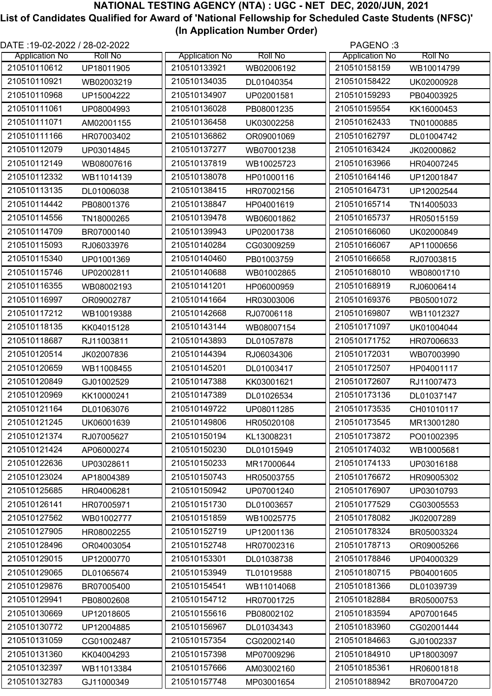| DATE :19-02-2022 / 28-02-2022 |                |                       |                | PAGENO:3              |                |
|-------------------------------|----------------|-----------------------|----------------|-----------------------|----------------|
| <b>Application No</b>         | <b>Roll No</b> | <b>Application No</b> | <b>Roll No</b> | <b>Application No</b> | <b>Roll No</b> |
| 210510110612                  | UP18011905     | 210510133921          | WB02006192     | 210510158159          | WB10014799     |
| 210510110921                  | WB02003219     | 210510134035          | DL01040354     | 210510158422          | UK02000928     |
| 210510110968                  | UP15004222     | 210510134907          | UP02001581     | 210510159293          | PB04003925     |
| 210510111061                  | UP08004993     | 210510136028          | PB08001235     | 210510159554          | KK16000453     |
| 210510111071                  | AM02001155     | 210510136458          | UK03002258     | 210510162433          | TN01000885     |
| 210510111166                  | HR07003402     | 210510136862          | OR09001069     | 210510162797          | DL01004742     |
| 210510112079                  | UP03014845     | 210510137277          | WB07001238     | 210510163424          | JK02000862     |
| 210510112149                  | WB08007616     | 210510137819          | WB10025723     | 210510163966          | HR04007245     |
| 210510112332                  | WB11014139     | 210510138078          | HP01000116     | 210510164146          | UP12001847     |
| 210510113135                  | DL01006038     | 210510138415          | HR07002156     | 210510164731          | UP12002544     |
| 210510114442                  | PB08001376     | 210510138847          | HP04001619     | 210510165714          | TN14005033     |
| 210510114556                  | TN18000265     | 210510139478          | WB06001862     | 210510165737          | HR05015159     |
| 210510114709                  | BR07000140     | 210510139943          | UP02001738     | 210510166060          | UK02000849     |
| 210510115093                  | RJ06033976     | 210510140284          | CG03009259     | 210510166067          | AP11000656     |
| 210510115340                  | UP01001369     | 210510140460          | PB01003759     | 210510166658          | RJ07003815     |
| 210510115746                  | UP02002811     | 210510140688          | WB01002865     | 210510168010          | WB08001710     |
| 210510116355                  | WB08002193     | 210510141201          | HP06000959     | 210510168919          | RJ06006414     |
| 210510116997                  | OR09002787     | 210510141664          | HR03003006     | 210510169376          | PB05001072     |
| 210510117212                  | WB10019388     | 210510142668          | RJ07006118     | 210510169807          | WB11012327     |
| 210510118135                  | KK04015128     | 210510143144          | WB08007154     | 210510171097          | UK01004044     |
| 210510118687                  | RJ11003811     | 210510143893          | DL01057878     | 210510171752          | HR07006633     |
| 210510120514                  | JK02007836     | 210510144394          | RJ06034306     | 210510172031          | WB07003990     |
| 210510120659                  | WB11008455     | 210510145201          | DL01003417     | 210510172507          | HP04001117     |
| 210510120849                  | GJ01002529     | 210510147388          | KK03001621     | 210510172607          | RJ11007473     |
| 210510120969                  | KK10000241     | 210510147389          | DL01026534     | 210510173136          | DL01037147     |
| 210510121164                  | DL01063076     | 210510149722          | UP08011285     | 210510173535          | CH01010117     |
| 210510121245                  | UK06001639     | 210510149806          | HR05020108     | 210510173545          | MR13001280     |
| 210510121374                  | RJ07005627     | 210510150194          | KL13008231     | 210510173872          | PO01002395     |
| 210510121424                  | AP06000274     | 210510150230          | DL01015949     | 210510174032          | WB10005681     |
| 210510122636                  | UP03028611     | 210510150233          | MR17000644     | 210510174133          | UP03016188     |
| 210510123024                  | AP18004389     | 210510150743          | HR05003755     | 210510176672          | HR09005302     |
| 210510125685                  | HR04006281     | 210510150942          | UP07001240     | 210510176907          | UP03010793     |
| 210510126141                  | HR07005971     | 210510151730          | DL01003657     | 210510177529          | CG03005553     |
| 210510127562                  | WB01002777     | 210510151859          | WB10025775     | 210510178082          | JK02007289     |
| 210510127905                  | HR08002255     | 210510152719          | UP12001136     | 210510178324          | BR05003324     |
| 210510128496                  | OR04003054     | 210510152748          | HR07002316     | 210510178713          | OR09005266     |
| 210510129015                  | UP12000770     | 210510153301          | DL01038738     | 210510178846          | UP04000329     |
| 210510129065                  | DL01065674     | 210510153949          | TL01019588     | 210510180715          | PB04001605     |
| 210510129876                  | BR07005400     | 210510154541          | WB11014068     | 210510181366          | DL01039739     |
| 210510129941                  | PB08002608     | 210510154712          | HR07001725     | 210510182884          | BR05000753     |
| 210510130669                  | UP12018605     | 210510155616          | PB08002102     | 210510183594          | AP07001645     |
| 210510130772                  | UP12004885     | 210510156967          | DL01034343     | 210510183960          | CG02001444     |
| 210510131059                  | CG01002487     | 210510157354          | CG02002140     | 210510184663          | GJ01002337     |
| 210510131360                  | KK04004293     | 210510157398          | MP07009296     | 210510184910          | UP18003097     |
| 210510132397                  | WB11013384     | 210510157666          | AM03002160     | 210510185361          | HR06001818     |
| 210510132783                  | GJ11000349     | 210510157748          | MP03001654     | 210510188942          | BR07004720     |
|                               |                |                       |                |                       |                |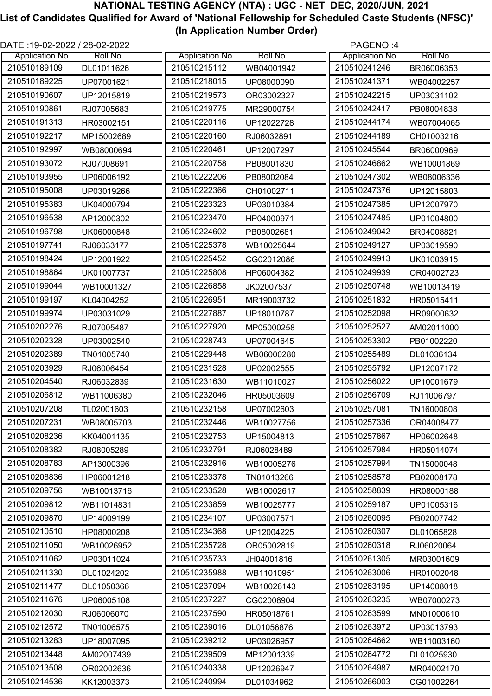| DATE :19-02-2022 / 28-02-2022 |                |                       |                | PAGENO:4              |                |
|-------------------------------|----------------|-----------------------|----------------|-----------------------|----------------|
| <b>Application No</b>         | <b>Roll No</b> | <b>Application No</b> | <b>Roll No</b> | <b>Application No</b> | <b>Roll No</b> |
| 210510189109                  | DL01011626     | 210510215112          | WB04001942     | 210510241246          | BR06006353     |
| 210510189225                  | UP07001621     | 210510218015          | UP08000090     | 210510241371          | WB04002257     |
| 210510190607                  | UP12015819     | 210510219573          | OR03002327     | 210510242215          | UP03031102     |
| 210510190861                  | RJ07005683     | 210510219775          | MR29000754     | 210510242417          | PB08004838     |
| 210510191313                  | HR03002151     | 210510220116          | UP12022728     | 210510244174          | WB07004065     |
| 210510192217                  | MP15002689     | 210510220160          | RJ06032891     | 210510244189          | CH01003216     |
| 210510192997                  | WB08000694     | 210510220461          | UP12007297     | 210510245544          | BR06000969     |
| 210510193072                  | RJ07008691     | 210510220758          | PB08001830     | 210510246862          | WB10001869     |
| 210510193955                  | UP06006192     | 210510222206          | PB08002084     | 210510247302          | WB08006336     |
| 210510195008                  | UP03019266     | 210510222366          | CH01002711     | 210510247376          | UP12015803     |
| 210510195383                  | UK04000794     | 210510223323          | UP03010384     | 210510247385          | UP12007970     |
| 210510196538                  | AP12000302     | 210510223470          | HP04000971     | 210510247485          | UP01004800     |
| 210510196798                  | UK06000848     | 210510224602          | PB08002681     | 210510249042          | BR04008821     |
| 210510197741                  | RJ06033177     | 210510225378          | WB10025644     | 210510249127          | UP03019590     |
| 210510198424                  | UP12001922     | 210510225452          | CG02012086     | 210510249913          | UK01003915     |
| 210510198864                  | UK01007737     | 210510225808          | HP06004382     | 210510249939          | OR04002723     |
| 210510199044                  | WB10001327     | 210510226858          | JK02007537     | 210510250748          | WB10013419     |
| 210510199197                  | KL04004252     | 210510226951          | MR19003732     | 210510251832          | HR05015411     |
| 210510199974                  | UP03031029     | 210510227887          | UP18010787     | 210510252098          | HR09000632     |
| 210510202276                  | RJ07005487     | 210510227920          | MP05000258     | 210510252527          | AM02011000     |
| 210510202328                  | UP03002540     | 210510228743          | UP07004645     | 210510253302          | PB01002220     |
| 210510202389                  | TN01005740     | 210510229448          | WB06000280     | 210510255489          | DL01036134     |
| 210510203929                  | RJ06006454     | 210510231528          | UP02002555     | 210510255792          | UP12007172     |
| 210510204540                  | RJ06032839     | 210510231630          | WB11010027     | 210510256022          | UP10001679     |
| 210510206812                  | WB11006380     | 210510232046          | HR05003609     | 210510256709          | RJ11006797     |
| 210510207208                  | TL02001603     | 210510232158          | UP07002603     | 210510257081          | TN16000808     |
| 210510207231                  | WB08005703     | 210510232446          | WB10027756     | 210510257336          | OR04008477     |
| 210510208236                  | KK04001135     | 210510232753          | UP15004813     | 210510257867          | HP06002648     |
| 210510208382                  | RJ08005289     | 210510232791          | RJ06028489     | 210510257984          | HR05014074     |
| 210510208783                  |                | 210510232916          |                | 210510257994          |                |
|                               | AP13000396     |                       | WB10005276     |                       | TN15000048     |
| 210510208836                  | HP06001218     | 210510233378          | TN01013266     | 210510258578          | PB02008178     |
| 210510209756                  | WB10013716     | 210510233528          | WB10002617     | 210510258839          | HR08000188     |
| 210510209812                  | WB11014831     | 210510233859          | WB10025777     | 210510259187          | UP01005316     |
| 210510209870                  | UP14009199     | 210510234107          | UP03007571     | 210510260095          | PB02007742     |
| 210510210510                  | HP08000208     | 210510234368          | UP12004225     | 210510260307          | DL01065828     |
| 210510211050                  | WB10026952     | 210510235728          | OR05002819     | 210510260318          | RJ06020064     |
| 210510211062                  | UP03011024     | 210510235733          | JH04001816     | 210510261305          | MR03001609     |
| 210510211330                  | DL01024202     | 210510235988          | WB11010951     | 210510263006          | HR01002048     |
| 210510211477                  | DL01050366     | 210510237094          | WB10026143     | 210510263195          | UP14008018     |
| 210510211676                  | UP06005108     | 210510237227          | CG02008904     | 210510263235          | WB07000273     |
| 210510212030                  | RJ06006070     | 210510237590          | HR05018761     | 210510263599          | MN01000610     |
| 210510212572                  | TN01006575     | 210510239016          | DL01056876     | 210510263972          | UP03013793     |
| 210510213283                  | UP18007095     | 210510239212          | UP03026957     | 210510264662          | WB11003160     |
| 210510213448                  | AM02007439     | 210510239509          | MP12001339     | 210510264772          | DL01025930     |
| 210510213508                  | OR02002636     | 210510240338          | UP12026947     | 210510264987          | MR04002170     |
| 210510214536                  | KK12003373     | 210510240994          | DL01034962     | 210510266003          | CG01002264     |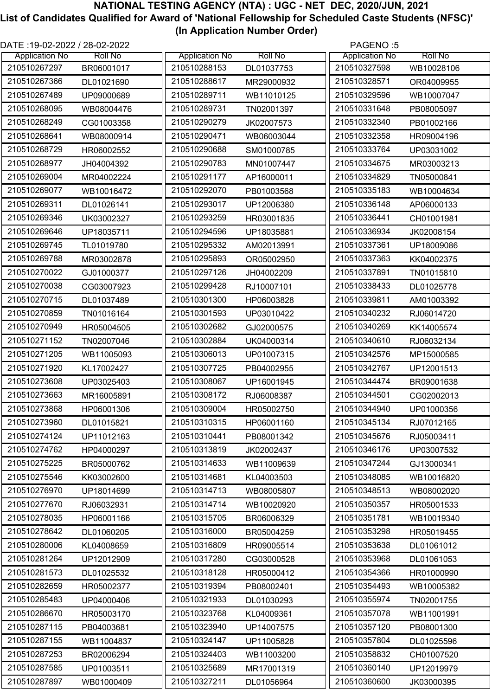| DATE :19-02-2022 / 28-02-2022 |                |                       |                | PAGENO:5              |                |
|-------------------------------|----------------|-----------------------|----------------|-----------------------|----------------|
| <b>Application No</b>         | <b>Roll No</b> | <b>Application No</b> | <b>Roll No</b> | <b>Application No</b> | <b>Roll No</b> |
| 210510267297                  | BR06001017     | 210510288153          | DL01037753     | 210510327598          | WB10028106     |
| 210510267366                  | DL01021690     | 210510288617          | MR29000932     | 210510328571          | OR04009955     |
| 210510267489                  | UP09000689     | 210510289711          | WB11010125     | 210510329596          | WB10007047     |
| 210510268095                  | WB08004476     | 210510289731          | TN02001397     | 210510331648          | PB08005097     |
| 210510268249                  | CG01003358     | 210510290279          | JK02007573     | 210510332340          | PB01002166     |
| 210510268641                  | WB08000914     | 210510290471          | WB06003044     | 210510332358          | HR09004196     |
| 210510268729                  | HR06002552     | 210510290688          | SM01000785     | 210510333764          | UP03031002     |
| 210510268977                  | JH04004392     | 210510290783          | MN01007447     | 210510334675          | MR03003213     |
| 210510269004                  | MR04002224     | 210510291177          | AP16000011     | 210510334829          | TN05000841     |
| 210510269077                  | WB10016472     | 210510292070          | PB01003568     | 210510335183          | WB10004634     |
| 210510269311                  | DL01026141     | 210510293017          | UP12006380     | 210510336148          | AP06000133     |
| 210510269346                  | UK03002327     | 210510293259          | HR03001835     | 210510336441          | CH01001981     |
| 210510269646                  | UP18035711     | 210510294596          | UP18035881     | 210510336934          | JK02008154     |
| 210510269745                  | TL01019780     | 210510295332          | AM02013991     | 210510337361          | UP18009086     |
| 210510269788                  | MR03002878     | 210510295893          | OR05002950     | 210510337363          | KK04002375     |
| 210510270022                  | GJ01000377     | 210510297126          | JH04002209     | 210510337891          | TN01015810     |
| 210510270038                  | CG03007923     | 210510299428          | RJ10007101     | 210510338433          | DL01025778     |
| 210510270715                  | DL01037489     | 210510301300          | HP06003828     | 210510339811          | AM01003392     |
| 210510270859                  | TN01016164     | 210510301593          | UP03010422     | 210510340232          | RJ06014720     |
| 210510270949                  | HR05004505     | 210510302682          | GJ02000575     | 210510340269          | KK14005574     |
| 210510271152                  | TN02007046     | 210510302884          | UK04000314     | 210510340610          | RJ06032134     |
| 210510271205                  | WB11005093     | 210510306013          | UP01007315     | 210510342576          | MP15000585     |
| 210510271920                  | KL17002427     | 210510307725          | PB04002955     | 210510342767          | UP12001513     |
| 210510273608                  | UP03025403     | 210510308067          | UP16001945     | 210510344474          | BR09001638     |
| 210510273663                  | MR16005891     | 210510308172          | RJ06008387     | 210510344501          | CG02002013     |
| 210510273868                  | HP06001306     | 210510309004          | HR05002750     | 210510344940          | UP01000356     |
| 210510273960                  | DL01015821     | 210510310315          | HP06001160     | 210510345134          | RJ07012165     |
| 210510274124                  | UP11012163     | 210510310441          | PB08001342     | 210510345676          | RJ05003411     |
| 210510274762                  | HP04000297     | 210510313819          | JK02002437     | 210510346176          | UP03007532     |
| 210510275225                  | BR05000762     | 210510314633          | WB11009639     | 210510347244          | GJ13000341     |
| 210510275546                  | KK03002600     | 210510314681          | KL04003503     | 210510348085          | WB10016820     |
| 210510276970                  | UP18014699     | 210510314713          | WB08005807     | 210510348513          | WB08002020     |
| 210510277670                  | RJ06032931     | 210510314714          | WB10020920     | 210510350357          | HR05001533     |
| 210510278035                  | HP06001166     | 210510315705          | BR06006329     | 210510351781          | WB10019340     |
| 210510278642                  | DL01060205     | 210510316000          | BR05004259     | 210510353298          | HR05019455     |
| 210510280006                  | KL04008659     | 210510316809          | HR09005514     | 210510353638          | DL01061012     |
| 210510281264                  | UP12012909     | 210510317280          | CG03000528     | 210510353968          | DL01061053     |
| 210510281573                  | DL01025532     | 210510318128          | HR05000412     | 210510354366          | HR01000990     |
| 210510282659                  | HR05002377     | 210510319394          | PB08002401     | 210510354493          | WB10005382     |
| 210510285483                  | UP04000406     | 210510321933          | DL01030293     | 210510355974          | TN02001755     |
| 210510286670                  | HR05003170     | 210510323768          | KL04009361     | 210510357078          | WB11001991     |
| 210510287115                  | PB04003681     | 210510323940          | UP14007575     | 210510357120          | PB08001300     |
| 210510287155                  | WB11004837     | 210510324147          | UP11005828     | 210510357804          | DL01025596     |
| 210510287253                  | BR02006294     | 210510324403          | WB11003200     | 210510358832          | CH01007520     |
| 210510287585                  | UP01003511     | 210510325689          | MR17001319     | 210510360140          | UP12019979     |
| 210510287897                  | WB01000409     | 210510327211          | DL01056964     | 210510360600          | JK03000395     |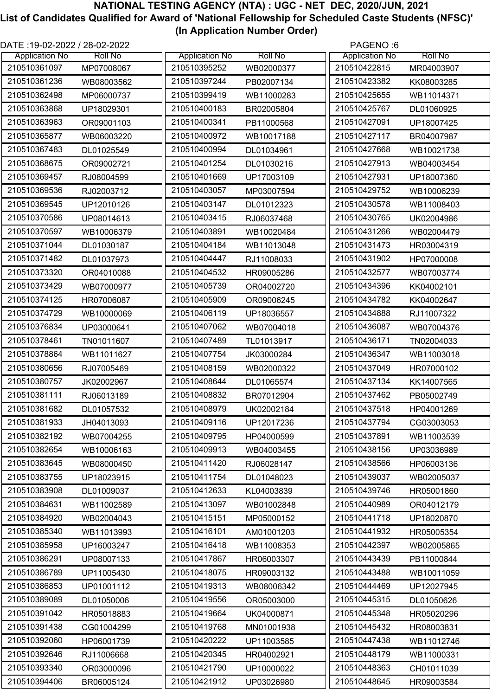| DATE :19-02-2022 / 28-02-2022 |                |                       |                | PAGENO:6              |                |
|-------------------------------|----------------|-----------------------|----------------|-----------------------|----------------|
| <b>Application No</b>         | <b>Roll No</b> | <b>Application No</b> | <b>Roll No</b> | <b>Application No</b> | <b>Roll No</b> |
| 210510361097                  | MP07008067     | 210510395252          | WB02000377     | 210510422815          | MR04003907     |
| 210510361236                  | WB08003562     | 210510397244          | PB02007134     | 210510423382          | KK08003285     |
| 210510362498                  | MP06000737     | 210510399419          | WB11000283     | 210510425655          | WB11014371     |
| 210510363868                  | UP18029301     | 210510400183          | BR02005804     | 210510425767          | DL01060925     |
| 210510363963                  | OR09001103     | 210510400341          | PB11000568     | 210510427091          | UP18007425     |
| 210510365877                  | WB06003220     | 210510400972          | WB10017188     | 210510427117          | BR04007987     |
| 210510367483                  | DL01025549     | 210510400994          | DL01034961     | 210510427668          | WB10021738     |
| 210510368675                  | OR09002721     | 210510401254          | DL01030216     | 210510427913          | WB04003454     |
| 210510369457                  | RJ08004599     | 210510401669          | UP17003109     | 210510427931          | UP18007360     |
| 210510369536                  | RJ02003712     | 210510403057          | MP03007594     | 210510429752          | WB10006239     |
| 210510369545                  | UP12010126     | 210510403147          | DL01012323     | 210510430578          | WB11008403     |
| 210510370586                  | UP08014613     | 210510403415          | RJ06037468     | 210510430765          | UK02004986     |
| 210510370597                  | WB10006379     | 210510403891          | WB10020484     | 210510431266          | WB02004479     |
| 210510371044                  | DL01030187     | 210510404184          | WB11013048     | 210510431473          | HR03004319     |
| 210510371482                  | DL01037973     | 210510404447          | RJ11008033     | 210510431902          | HP07000008     |
| 210510373320                  | OR04010088     | 210510404532          | HR09005286     | 210510432577          | WB07003774     |
| 210510373429                  | WB07000977     | 210510405739          | OR04002720     | 210510434396          | KK04002101     |
| 210510374125                  | HR07006087     | 210510405909          | OR09006245     | 210510434782          | KK04002647     |
| 210510374729                  | WB10000069     | 210510406119          | UP18036557     | 210510434888          | RJ11007322     |
| 210510376834                  | UP03000641     | 210510407062          | WB07004018     | 210510436087          | WB07004376     |
| 210510378461                  | TN01011607     | 210510407489          | TL01013917     | 210510436171          | TN02004033     |
| 210510378864                  | WB11011627     | 210510407754          | JK03000284     | 210510436347          | WB11003018     |
| 210510380656                  | RJ07005469     | 210510408159          | WB02000322     | 210510437049          | HR07000102     |
| 210510380757                  | JK02002967     | 210510408644          | DL01065574     | 210510437134          | KK14007565     |
| 210510381111                  | RJ06013189     | 210510408832          | BR07012904     | 210510437462          | PB05002749     |
| 210510381682                  | DL01057532     | 210510408979          | UK02002184     | 210510437518          | HP04001269     |
| 210510381933                  | JH04013093     | 210510409116          | UP12017236     | 210510437794          | CG03003053     |
| 210510382192                  |                | 210510409795          |                | 210510437891          |                |
|                               | WB07004255     |                       | HP04000599     |                       | WB11003539     |
| 210510382654                  | WB10006163     | 210510409913          | WB04003455     | 210510438156          | UP03036989     |
| 210510383645                  | WB08000450     | 210510411420          | RJ06028147     | 210510438566          | HP06003136     |
| 210510383755                  | UP18023915     | 210510411754          | DL01048023     | 210510439037          | WB02005037     |
| 210510383908                  | DL01009037     | 210510412633          | KL04003839     | 210510439746          | HR05001860     |
| 210510384631                  | WB11002589     | 210510413097          | WB01002848     | 210510440989          | OR04012179     |
| 210510384920                  | WB02004043     | 210510415151          | MP05000152     | 210510441718          | UP18020870     |
| 210510385340                  | WB11013993     | 210510416101          | AM01001203     | 210510441932          | HR05005354     |
| 210510385958                  | UP16003247     | 210510416418          | WB11008353     | 210510442397          | WB02005865     |
| 210510386291                  | UP08007133     | 210510417867          | HR06003307     | 210510443439          | PB11000844     |
| 210510386789                  | UP11005430     | 210510418075          | HR09003132     | 210510443488          | WB10011059     |
| 210510386853                  | UP01001112     | 210510419313          | WB08006342     | 210510444469          | UP12027945     |
| 210510389089                  | DL01050006     | 210510419556          | OR05003000     | 210510445315          | DL01050626     |
| 210510391042                  | HR05018883     | 210510419664          | UK04000871     | 210510445348          | HR05020296     |
| 210510391438                  | CG01004299     | 210510419768          | MN01001938     | 210510445432          | HR08003831     |
| 210510392060                  | HP06001739     | 210510420222          | UP11003585     | 210510447438          | WB11012746     |
| 210510392646                  | RJ11006668     | 210510420345          | HR04002921     | 210510448179          | WB11000331     |
| 210510393340                  | OR03000096     | 210510421790          | UP10000022     | 210510448363          | CH01011039     |
| 210510394406                  | BR06005124     | 210510421912          | UP03026980     | 210510448645          | HR09003584     |
|                               |                |                       |                |                       |                |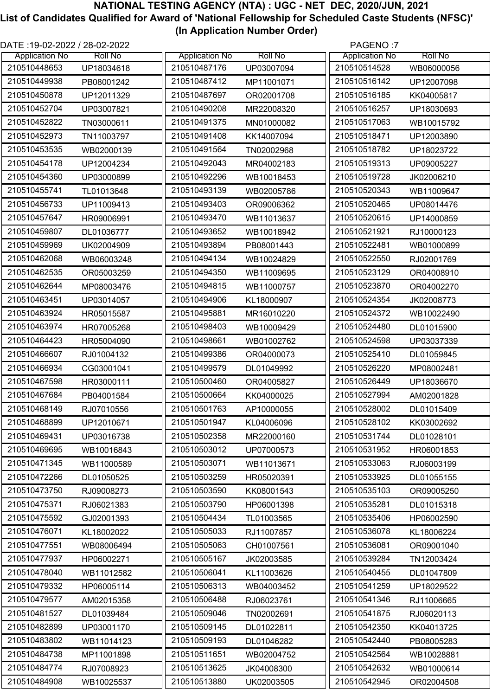| 210510448653<br>210510487176<br>210510514528<br>UP03007094<br>UP18034618<br>WB06000056<br>210510449938<br>210510487412<br>210510516142<br>MP11001071<br>UP12007098<br>PB08001242<br>210510450878<br>210510487697<br>210510516185<br>UP12011329<br>OR02001708<br>KK04005817<br>210510452704<br>210510490208<br>210510516257<br>UP03007821<br>MR22008320<br>UP18030693<br>210510491375<br>210510452822<br>210510517063<br>TN03000611<br>MN01000082<br>WB10015792<br>210510452973<br>210510491408<br>210510518471<br>KK14007094<br>UP12003890<br>TN11003797<br>210510453535<br>210510491564<br>210510518782<br>WB02000139<br>TN02002968<br>UP18023722<br>210510454178<br>210510492043<br>210510519313<br>UP12004234<br>MR04002183<br>UP09005227<br>210510454360<br>210510492296<br>210510519728<br>UP03000899<br>WB10018453<br>JK02006210<br>210510455741<br>210510493139<br>210510520343<br>WB02005786<br>TL01013648<br>WB11009647<br>210510456733<br>210510493403<br>210510520465<br>UP11009413<br>OR09006362<br>UP08014476<br>210510457647<br>210510493470<br>210510520615<br>HR09006991<br>WB11013637<br>UP14000859<br>210510493652<br>210510459807<br>210510521921<br>DL01036777<br>WB10018942<br>RJ10000123<br>210510459969<br>210510493894<br>210510522481<br>WB01000899<br>UK02004909<br>PB08001443<br>210510462068<br>210510494134<br>210510522550<br>WB10024829<br>WB06003248<br>RJ02001769<br>210510462535<br>210510494350<br>210510523129<br>OR05003259<br>WB11009695<br>OR04008910<br>210510462644<br>210510494815<br>210510523870<br>WB11000757<br>MP08003476<br>OR04002270<br>210510463451<br>210510494906<br>210510524354<br>UP03014057<br>KL18000907<br>JK02008773<br>210510463924<br>210510495881<br>210510524372<br>MR16010220<br>HR05015587<br>WB10022490<br>210510463974<br>210510498403<br>210510524480<br>HR07005268<br>WB10009429<br>DL01015900<br>210510464423<br>210510498661<br>210510524598<br>HR05004090<br>WB01002762<br>UP03037339<br>210510466607<br>210510499386<br>210510525410<br>OR04000073<br>RJ01004132<br>DL01059845<br>210510466934<br>210510499579<br>210510526220<br>CG03001041<br>DL01049992<br>MP08002481<br>210510467598<br>210510500460<br>210510526449<br>HR03000111<br>OR04005827<br>UP18036670<br>210510467684<br>210510500664<br>KK04000025<br>210510527994<br>PB04001584<br>AM02001828<br>210510468149<br>210510528002<br>RJ07010556<br>210510501763<br>AP10000055<br>DL01015409<br>210510468899<br>210510501947<br>210510528102<br>UP12010671<br>KL04006096<br>KK03002692<br>210510469431<br>210510502358<br>210510531744<br>UP03016738<br>MR22000160<br>DL01028101<br>210510503012<br>210510469695<br>210510531952<br>WB10016843<br>UP07000573<br>HR06001853<br>210510471345<br>210510503071<br>210510533063<br>WB11000589<br>WB11013671<br>RJ06003199<br>210510533925<br>210510472266<br>210510503259<br>DL01050525<br>HR05020391<br>DL01055155<br>210510473750<br>210510503590<br>210510535103<br>RJ09008273<br>KK08001543<br>OR09005250<br>210510475371<br>210510503790<br>210510535281<br>RJ06021383<br>HP06001398<br>DL01015318<br>210510504434<br>210510535406<br>210510475592<br>GJ02001393<br>TL01003565<br>HP06002590<br>210510476071<br>210510505033<br>210510536078<br>KL18002022<br>RJ11007857<br>KL18006224<br>210510477551<br>210510505063<br>210510536081<br>WB08006494<br>CH01007561<br>OR09001040<br>210510477937<br>210510505167<br>210510539284<br>TN12003424<br>HP06002271<br>JK02003585<br>210510478040<br>210510506041<br>210510540455<br>KL11003626<br>DL01047809<br>WB11012582<br>210510479332<br>210510506313<br>210510541259<br>HP06005114<br>WB04003452<br>UP18029522<br>210510479577<br>210510506488<br>210510541346<br>AM02015358<br>RJ06023761<br>RJ11006665<br>210510481527<br>210510509046<br>210510541875<br>DL01039484<br>TN02002691<br>RJ06020113<br>210510482899<br>210510509145<br>210510542350<br>UP03001170<br>DL01022811<br>KK04013725<br>210510483802<br>210510509193<br>210510542440<br>WB11014123<br>DL01046282<br>PB08005283<br>210510511651<br>210510484738<br>210510542564<br>MP11001898<br>WB02004752<br>WB10028881<br>210510484774<br>210510513625<br>210510542632<br>RJ07008923<br>JK04008300<br>WB01000614<br>210510484908<br>210510513880<br>210510542945<br>WB10025537<br>UK02003505<br>OR02004508 | DATE :19-02-2022 / 28-02-2022 |                |                       |                | PAGENO:7              |                |
|----------------------------------------------------------------------------------------------------------------------------------------------------------------------------------------------------------------------------------------------------------------------------------------------------------------------------------------------------------------------------------------------------------------------------------------------------------------------------------------------------------------------------------------------------------------------------------------------------------------------------------------------------------------------------------------------------------------------------------------------------------------------------------------------------------------------------------------------------------------------------------------------------------------------------------------------------------------------------------------------------------------------------------------------------------------------------------------------------------------------------------------------------------------------------------------------------------------------------------------------------------------------------------------------------------------------------------------------------------------------------------------------------------------------------------------------------------------------------------------------------------------------------------------------------------------------------------------------------------------------------------------------------------------------------------------------------------------------------------------------------------------------------------------------------------------------------------------------------------------------------------------------------------------------------------------------------------------------------------------------------------------------------------------------------------------------------------------------------------------------------------------------------------------------------------------------------------------------------------------------------------------------------------------------------------------------------------------------------------------------------------------------------------------------------------------------------------------------------------------------------------------------------------------------------------------------------------------------------------------------------------------------------------------------------------------------------------------------------------------------------------------------------------------------------------------------------------------------------------------------------------------------------------------------------------------------------------------------------------------------------------------------------------------------------------------------------------------------------------------------------------------------------------------------------------------------------------------------------------------------------------------------------------------------------------------------------------------------------------------------------------------------------------------------------------------------------------------------------------------------------------------------------------------------------------------------------------------------------------------------------------------------------------------------------------------------------------------------------------------------------------------------------------------------------------------------------------------------------------------------------------------------------------------------------------------------------------------------------------------------------------------------------------------------------------------------------------------------------------------------------------------------------------------------------------------------------------------------------------------------------------------------------------------------------------|-------------------------------|----------------|-----------------------|----------------|-----------------------|----------------|
|                                                                                                                                                                                                                                                                                                                                                                                                                                                                                                                                                                                                                                                                                                                                                                                                                                                                                                                                                                                                                                                                                                                                                                                                                                                                                                                                                                                                                                                                                                                                                                                                                                                                                                                                                                                                                                                                                                                                                                                                                                                                                                                                                                                                                                                                                                                                                                                                                                                                                                                                                                                                                                                                                                                                                                                                                                                                                                                                                                                                                                                                                                                                                                                                                                                                                                                                                                                                                                                                                                                                                                                                                                                                                                                                                                                                                                                                                                                                                                                                                                                                                                                                                                                                                                                                                                          | <b>Application No</b>         | <b>Roll No</b> | <b>Application No</b> | <b>Roll No</b> | <b>Application No</b> | <b>Roll No</b> |
|                                                                                                                                                                                                                                                                                                                                                                                                                                                                                                                                                                                                                                                                                                                                                                                                                                                                                                                                                                                                                                                                                                                                                                                                                                                                                                                                                                                                                                                                                                                                                                                                                                                                                                                                                                                                                                                                                                                                                                                                                                                                                                                                                                                                                                                                                                                                                                                                                                                                                                                                                                                                                                                                                                                                                                                                                                                                                                                                                                                                                                                                                                                                                                                                                                                                                                                                                                                                                                                                                                                                                                                                                                                                                                                                                                                                                                                                                                                                                                                                                                                                                                                                                                                                                                                                                                          |                               |                |                       |                |                       |                |
|                                                                                                                                                                                                                                                                                                                                                                                                                                                                                                                                                                                                                                                                                                                                                                                                                                                                                                                                                                                                                                                                                                                                                                                                                                                                                                                                                                                                                                                                                                                                                                                                                                                                                                                                                                                                                                                                                                                                                                                                                                                                                                                                                                                                                                                                                                                                                                                                                                                                                                                                                                                                                                                                                                                                                                                                                                                                                                                                                                                                                                                                                                                                                                                                                                                                                                                                                                                                                                                                                                                                                                                                                                                                                                                                                                                                                                                                                                                                                                                                                                                                                                                                                                                                                                                                                                          |                               |                |                       |                |                       |                |
|                                                                                                                                                                                                                                                                                                                                                                                                                                                                                                                                                                                                                                                                                                                                                                                                                                                                                                                                                                                                                                                                                                                                                                                                                                                                                                                                                                                                                                                                                                                                                                                                                                                                                                                                                                                                                                                                                                                                                                                                                                                                                                                                                                                                                                                                                                                                                                                                                                                                                                                                                                                                                                                                                                                                                                                                                                                                                                                                                                                                                                                                                                                                                                                                                                                                                                                                                                                                                                                                                                                                                                                                                                                                                                                                                                                                                                                                                                                                                                                                                                                                                                                                                                                                                                                                                                          |                               |                |                       |                |                       |                |
|                                                                                                                                                                                                                                                                                                                                                                                                                                                                                                                                                                                                                                                                                                                                                                                                                                                                                                                                                                                                                                                                                                                                                                                                                                                                                                                                                                                                                                                                                                                                                                                                                                                                                                                                                                                                                                                                                                                                                                                                                                                                                                                                                                                                                                                                                                                                                                                                                                                                                                                                                                                                                                                                                                                                                                                                                                                                                                                                                                                                                                                                                                                                                                                                                                                                                                                                                                                                                                                                                                                                                                                                                                                                                                                                                                                                                                                                                                                                                                                                                                                                                                                                                                                                                                                                                                          |                               |                |                       |                |                       |                |
|                                                                                                                                                                                                                                                                                                                                                                                                                                                                                                                                                                                                                                                                                                                                                                                                                                                                                                                                                                                                                                                                                                                                                                                                                                                                                                                                                                                                                                                                                                                                                                                                                                                                                                                                                                                                                                                                                                                                                                                                                                                                                                                                                                                                                                                                                                                                                                                                                                                                                                                                                                                                                                                                                                                                                                                                                                                                                                                                                                                                                                                                                                                                                                                                                                                                                                                                                                                                                                                                                                                                                                                                                                                                                                                                                                                                                                                                                                                                                                                                                                                                                                                                                                                                                                                                                                          |                               |                |                       |                |                       |                |
|                                                                                                                                                                                                                                                                                                                                                                                                                                                                                                                                                                                                                                                                                                                                                                                                                                                                                                                                                                                                                                                                                                                                                                                                                                                                                                                                                                                                                                                                                                                                                                                                                                                                                                                                                                                                                                                                                                                                                                                                                                                                                                                                                                                                                                                                                                                                                                                                                                                                                                                                                                                                                                                                                                                                                                                                                                                                                                                                                                                                                                                                                                                                                                                                                                                                                                                                                                                                                                                                                                                                                                                                                                                                                                                                                                                                                                                                                                                                                                                                                                                                                                                                                                                                                                                                                                          |                               |                |                       |                |                       |                |
|                                                                                                                                                                                                                                                                                                                                                                                                                                                                                                                                                                                                                                                                                                                                                                                                                                                                                                                                                                                                                                                                                                                                                                                                                                                                                                                                                                                                                                                                                                                                                                                                                                                                                                                                                                                                                                                                                                                                                                                                                                                                                                                                                                                                                                                                                                                                                                                                                                                                                                                                                                                                                                                                                                                                                                                                                                                                                                                                                                                                                                                                                                                                                                                                                                                                                                                                                                                                                                                                                                                                                                                                                                                                                                                                                                                                                                                                                                                                                                                                                                                                                                                                                                                                                                                                                                          |                               |                |                       |                |                       |                |
|                                                                                                                                                                                                                                                                                                                                                                                                                                                                                                                                                                                                                                                                                                                                                                                                                                                                                                                                                                                                                                                                                                                                                                                                                                                                                                                                                                                                                                                                                                                                                                                                                                                                                                                                                                                                                                                                                                                                                                                                                                                                                                                                                                                                                                                                                                                                                                                                                                                                                                                                                                                                                                                                                                                                                                                                                                                                                                                                                                                                                                                                                                                                                                                                                                                                                                                                                                                                                                                                                                                                                                                                                                                                                                                                                                                                                                                                                                                                                                                                                                                                                                                                                                                                                                                                                                          |                               |                |                       |                |                       |                |
|                                                                                                                                                                                                                                                                                                                                                                                                                                                                                                                                                                                                                                                                                                                                                                                                                                                                                                                                                                                                                                                                                                                                                                                                                                                                                                                                                                                                                                                                                                                                                                                                                                                                                                                                                                                                                                                                                                                                                                                                                                                                                                                                                                                                                                                                                                                                                                                                                                                                                                                                                                                                                                                                                                                                                                                                                                                                                                                                                                                                                                                                                                                                                                                                                                                                                                                                                                                                                                                                                                                                                                                                                                                                                                                                                                                                                                                                                                                                                                                                                                                                                                                                                                                                                                                                                                          |                               |                |                       |                |                       |                |
|                                                                                                                                                                                                                                                                                                                                                                                                                                                                                                                                                                                                                                                                                                                                                                                                                                                                                                                                                                                                                                                                                                                                                                                                                                                                                                                                                                                                                                                                                                                                                                                                                                                                                                                                                                                                                                                                                                                                                                                                                                                                                                                                                                                                                                                                                                                                                                                                                                                                                                                                                                                                                                                                                                                                                                                                                                                                                                                                                                                                                                                                                                                                                                                                                                                                                                                                                                                                                                                                                                                                                                                                                                                                                                                                                                                                                                                                                                                                                                                                                                                                                                                                                                                                                                                                                                          |                               |                |                       |                |                       |                |
|                                                                                                                                                                                                                                                                                                                                                                                                                                                                                                                                                                                                                                                                                                                                                                                                                                                                                                                                                                                                                                                                                                                                                                                                                                                                                                                                                                                                                                                                                                                                                                                                                                                                                                                                                                                                                                                                                                                                                                                                                                                                                                                                                                                                                                                                                                                                                                                                                                                                                                                                                                                                                                                                                                                                                                                                                                                                                                                                                                                                                                                                                                                                                                                                                                                                                                                                                                                                                                                                                                                                                                                                                                                                                                                                                                                                                                                                                                                                                                                                                                                                                                                                                                                                                                                                                                          |                               |                |                       |                |                       |                |
|                                                                                                                                                                                                                                                                                                                                                                                                                                                                                                                                                                                                                                                                                                                                                                                                                                                                                                                                                                                                                                                                                                                                                                                                                                                                                                                                                                                                                                                                                                                                                                                                                                                                                                                                                                                                                                                                                                                                                                                                                                                                                                                                                                                                                                                                                                                                                                                                                                                                                                                                                                                                                                                                                                                                                                                                                                                                                                                                                                                                                                                                                                                                                                                                                                                                                                                                                                                                                                                                                                                                                                                                                                                                                                                                                                                                                                                                                                                                                                                                                                                                                                                                                                                                                                                                                                          |                               |                |                       |                |                       |                |
|                                                                                                                                                                                                                                                                                                                                                                                                                                                                                                                                                                                                                                                                                                                                                                                                                                                                                                                                                                                                                                                                                                                                                                                                                                                                                                                                                                                                                                                                                                                                                                                                                                                                                                                                                                                                                                                                                                                                                                                                                                                                                                                                                                                                                                                                                                                                                                                                                                                                                                                                                                                                                                                                                                                                                                                                                                                                                                                                                                                                                                                                                                                                                                                                                                                                                                                                                                                                                                                                                                                                                                                                                                                                                                                                                                                                                                                                                                                                                                                                                                                                                                                                                                                                                                                                                                          |                               |                |                       |                |                       |                |
|                                                                                                                                                                                                                                                                                                                                                                                                                                                                                                                                                                                                                                                                                                                                                                                                                                                                                                                                                                                                                                                                                                                                                                                                                                                                                                                                                                                                                                                                                                                                                                                                                                                                                                                                                                                                                                                                                                                                                                                                                                                                                                                                                                                                                                                                                                                                                                                                                                                                                                                                                                                                                                                                                                                                                                                                                                                                                                                                                                                                                                                                                                                                                                                                                                                                                                                                                                                                                                                                                                                                                                                                                                                                                                                                                                                                                                                                                                                                                                                                                                                                                                                                                                                                                                                                                                          |                               |                |                       |                |                       |                |
|                                                                                                                                                                                                                                                                                                                                                                                                                                                                                                                                                                                                                                                                                                                                                                                                                                                                                                                                                                                                                                                                                                                                                                                                                                                                                                                                                                                                                                                                                                                                                                                                                                                                                                                                                                                                                                                                                                                                                                                                                                                                                                                                                                                                                                                                                                                                                                                                                                                                                                                                                                                                                                                                                                                                                                                                                                                                                                                                                                                                                                                                                                                                                                                                                                                                                                                                                                                                                                                                                                                                                                                                                                                                                                                                                                                                                                                                                                                                                                                                                                                                                                                                                                                                                                                                                                          |                               |                |                       |                |                       |                |
|                                                                                                                                                                                                                                                                                                                                                                                                                                                                                                                                                                                                                                                                                                                                                                                                                                                                                                                                                                                                                                                                                                                                                                                                                                                                                                                                                                                                                                                                                                                                                                                                                                                                                                                                                                                                                                                                                                                                                                                                                                                                                                                                                                                                                                                                                                                                                                                                                                                                                                                                                                                                                                                                                                                                                                                                                                                                                                                                                                                                                                                                                                                                                                                                                                                                                                                                                                                                                                                                                                                                                                                                                                                                                                                                                                                                                                                                                                                                                                                                                                                                                                                                                                                                                                                                                                          |                               |                |                       |                |                       |                |
|                                                                                                                                                                                                                                                                                                                                                                                                                                                                                                                                                                                                                                                                                                                                                                                                                                                                                                                                                                                                                                                                                                                                                                                                                                                                                                                                                                                                                                                                                                                                                                                                                                                                                                                                                                                                                                                                                                                                                                                                                                                                                                                                                                                                                                                                                                                                                                                                                                                                                                                                                                                                                                                                                                                                                                                                                                                                                                                                                                                                                                                                                                                                                                                                                                                                                                                                                                                                                                                                                                                                                                                                                                                                                                                                                                                                                                                                                                                                                                                                                                                                                                                                                                                                                                                                                                          |                               |                |                       |                |                       |                |
|                                                                                                                                                                                                                                                                                                                                                                                                                                                                                                                                                                                                                                                                                                                                                                                                                                                                                                                                                                                                                                                                                                                                                                                                                                                                                                                                                                                                                                                                                                                                                                                                                                                                                                                                                                                                                                                                                                                                                                                                                                                                                                                                                                                                                                                                                                                                                                                                                                                                                                                                                                                                                                                                                                                                                                                                                                                                                                                                                                                                                                                                                                                                                                                                                                                                                                                                                                                                                                                                                                                                                                                                                                                                                                                                                                                                                                                                                                                                                                                                                                                                                                                                                                                                                                                                                                          |                               |                |                       |                |                       |                |
|                                                                                                                                                                                                                                                                                                                                                                                                                                                                                                                                                                                                                                                                                                                                                                                                                                                                                                                                                                                                                                                                                                                                                                                                                                                                                                                                                                                                                                                                                                                                                                                                                                                                                                                                                                                                                                                                                                                                                                                                                                                                                                                                                                                                                                                                                                                                                                                                                                                                                                                                                                                                                                                                                                                                                                                                                                                                                                                                                                                                                                                                                                                                                                                                                                                                                                                                                                                                                                                                                                                                                                                                                                                                                                                                                                                                                                                                                                                                                                                                                                                                                                                                                                                                                                                                                                          |                               |                |                       |                |                       |                |
|                                                                                                                                                                                                                                                                                                                                                                                                                                                                                                                                                                                                                                                                                                                                                                                                                                                                                                                                                                                                                                                                                                                                                                                                                                                                                                                                                                                                                                                                                                                                                                                                                                                                                                                                                                                                                                                                                                                                                                                                                                                                                                                                                                                                                                                                                                                                                                                                                                                                                                                                                                                                                                                                                                                                                                                                                                                                                                                                                                                                                                                                                                                                                                                                                                                                                                                                                                                                                                                                                                                                                                                                                                                                                                                                                                                                                                                                                                                                                                                                                                                                                                                                                                                                                                                                                                          |                               |                |                       |                |                       |                |
|                                                                                                                                                                                                                                                                                                                                                                                                                                                                                                                                                                                                                                                                                                                                                                                                                                                                                                                                                                                                                                                                                                                                                                                                                                                                                                                                                                                                                                                                                                                                                                                                                                                                                                                                                                                                                                                                                                                                                                                                                                                                                                                                                                                                                                                                                                                                                                                                                                                                                                                                                                                                                                                                                                                                                                                                                                                                                                                                                                                                                                                                                                                                                                                                                                                                                                                                                                                                                                                                                                                                                                                                                                                                                                                                                                                                                                                                                                                                                                                                                                                                                                                                                                                                                                                                                                          |                               |                |                       |                |                       |                |
|                                                                                                                                                                                                                                                                                                                                                                                                                                                                                                                                                                                                                                                                                                                                                                                                                                                                                                                                                                                                                                                                                                                                                                                                                                                                                                                                                                                                                                                                                                                                                                                                                                                                                                                                                                                                                                                                                                                                                                                                                                                                                                                                                                                                                                                                                                                                                                                                                                                                                                                                                                                                                                                                                                                                                                                                                                                                                                                                                                                                                                                                                                                                                                                                                                                                                                                                                                                                                                                                                                                                                                                                                                                                                                                                                                                                                                                                                                                                                                                                                                                                                                                                                                                                                                                                                                          |                               |                |                       |                |                       |                |
|                                                                                                                                                                                                                                                                                                                                                                                                                                                                                                                                                                                                                                                                                                                                                                                                                                                                                                                                                                                                                                                                                                                                                                                                                                                                                                                                                                                                                                                                                                                                                                                                                                                                                                                                                                                                                                                                                                                                                                                                                                                                                                                                                                                                                                                                                                                                                                                                                                                                                                                                                                                                                                                                                                                                                                                                                                                                                                                                                                                                                                                                                                                                                                                                                                                                                                                                                                                                                                                                                                                                                                                                                                                                                                                                                                                                                                                                                                                                                                                                                                                                                                                                                                                                                                                                                                          |                               |                |                       |                |                       |                |
|                                                                                                                                                                                                                                                                                                                                                                                                                                                                                                                                                                                                                                                                                                                                                                                                                                                                                                                                                                                                                                                                                                                                                                                                                                                                                                                                                                                                                                                                                                                                                                                                                                                                                                                                                                                                                                                                                                                                                                                                                                                                                                                                                                                                                                                                                                                                                                                                                                                                                                                                                                                                                                                                                                                                                                                                                                                                                                                                                                                                                                                                                                                                                                                                                                                                                                                                                                                                                                                                                                                                                                                                                                                                                                                                                                                                                                                                                                                                                                                                                                                                                                                                                                                                                                                                                                          |                               |                |                       |                |                       |                |
|                                                                                                                                                                                                                                                                                                                                                                                                                                                                                                                                                                                                                                                                                                                                                                                                                                                                                                                                                                                                                                                                                                                                                                                                                                                                                                                                                                                                                                                                                                                                                                                                                                                                                                                                                                                                                                                                                                                                                                                                                                                                                                                                                                                                                                                                                                                                                                                                                                                                                                                                                                                                                                                                                                                                                                                                                                                                                                                                                                                                                                                                                                                                                                                                                                                                                                                                                                                                                                                                                                                                                                                                                                                                                                                                                                                                                                                                                                                                                                                                                                                                                                                                                                                                                                                                                                          |                               |                |                       |                |                       |                |
|                                                                                                                                                                                                                                                                                                                                                                                                                                                                                                                                                                                                                                                                                                                                                                                                                                                                                                                                                                                                                                                                                                                                                                                                                                                                                                                                                                                                                                                                                                                                                                                                                                                                                                                                                                                                                                                                                                                                                                                                                                                                                                                                                                                                                                                                                                                                                                                                                                                                                                                                                                                                                                                                                                                                                                                                                                                                                                                                                                                                                                                                                                                                                                                                                                                                                                                                                                                                                                                                                                                                                                                                                                                                                                                                                                                                                                                                                                                                                                                                                                                                                                                                                                                                                                                                                                          |                               |                |                       |                |                       |                |
|                                                                                                                                                                                                                                                                                                                                                                                                                                                                                                                                                                                                                                                                                                                                                                                                                                                                                                                                                                                                                                                                                                                                                                                                                                                                                                                                                                                                                                                                                                                                                                                                                                                                                                                                                                                                                                                                                                                                                                                                                                                                                                                                                                                                                                                                                                                                                                                                                                                                                                                                                                                                                                                                                                                                                                                                                                                                                                                                                                                                                                                                                                                                                                                                                                                                                                                                                                                                                                                                                                                                                                                                                                                                                                                                                                                                                                                                                                                                                                                                                                                                                                                                                                                                                                                                                                          |                               |                |                       |                |                       |                |
|                                                                                                                                                                                                                                                                                                                                                                                                                                                                                                                                                                                                                                                                                                                                                                                                                                                                                                                                                                                                                                                                                                                                                                                                                                                                                                                                                                                                                                                                                                                                                                                                                                                                                                                                                                                                                                                                                                                                                                                                                                                                                                                                                                                                                                                                                                                                                                                                                                                                                                                                                                                                                                                                                                                                                                                                                                                                                                                                                                                                                                                                                                                                                                                                                                                                                                                                                                                                                                                                                                                                                                                                                                                                                                                                                                                                                                                                                                                                                                                                                                                                                                                                                                                                                                                                                                          |                               |                |                       |                |                       |                |
|                                                                                                                                                                                                                                                                                                                                                                                                                                                                                                                                                                                                                                                                                                                                                                                                                                                                                                                                                                                                                                                                                                                                                                                                                                                                                                                                                                                                                                                                                                                                                                                                                                                                                                                                                                                                                                                                                                                                                                                                                                                                                                                                                                                                                                                                                                                                                                                                                                                                                                                                                                                                                                                                                                                                                                                                                                                                                                                                                                                                                                                                                                                                                                                                                                                                                                                                                                                                                                                                                                                                                                                                                                                                                                                                                                                                                                                                                                                                                                                                                                                                                                                                                                                                                                                                                                          |                               |                |                       |                |                       |                |
|                                                                                                                                                                                                                                                                                                                                                                                                                                                                                                                                                                                                                                                                                                                                                                                                                                                                                                                                                                                                                                                                                                                                                                                                                                                                                                                                                                                                                                                                                                                                                                                                                                                                                                                                                                                                                                                                                                                                                                                                                                                                                                                                                                                                                                                                                                                                                                                                                                                                                                                                                                                                                                                                                                                                                                                                                                                                                                                                                                                                                                                                                                                                                                                                                                                                                                                                                                                                                                                                                                                                                                                                                                                                                                                                                                                                                                                                                                                                                                                                                                                                                                                                                                                                                                                                                                          |                               |                |                       |                |                       |                |
|                                                                                                                                                                                                                                                                                                                                                                                                                                                                                                                                                                                                                                                                                                                                                                                                                                                                                                                                                                                                                                                                                                                                                                                                                                                                                                                                                                                                                                                                                                                                                                                                                                                                                                                                                                                                                                                                                                                                                                                                                                                                                                                                                                                                                                                                                                                                                                                                                                                                                                                                                                                                                                                                                                                                                                                                                                                                                                                                                                                                                                                                                                                                                                                                                                                                                                                                                                                                                                                                                                                                                                                                                                                                                                                                                                                                                                                                                                                                                                                                                                                                                                                                                                                                                                                                                                          |                               |                |                       |                |                       |                |
|                                                                                                                                                                                                                                                                                                                                                                                                                                                                                                                                                                                                                                                                                                                                                                                                                                                                                                                                                                                                                                                                                                                                                                                                                                                                                                                                                                                                                                                                                                                                                                                                                                                                                                                                                                                                                                                                                                                                                                                                                                                                                                                                                                                                                                                                                                                                                                                                                                                                                                                                                                                                                                                                                                                                                                                                                                                                                                                                                                                                                                                                                                                                                                                                                                                                                                                                                                                                                                                                                                                                                                                                                                                                                                                                                                                                                                                                                                                                                                                                                                                                                                                                                                                                                                                                                                          |                               |                |                       |                |                       |                |
|                                                                                                                                                                                                                                                                                                                                                                                                                                                                                                                                                                                                                                                                                                                                                                                                                                                                                                                                                                                                                                                                                                                                                                                                                                                                                                                                                                                                                                                                                                                                                                                                                                                                                                                                                                                                                                                                                                                                                                                                                                                                                                                                                                                                                                                                                                                                                                                                                                                                                                                                                                                                                                                                                                                                                                                                                                                                                                                                                                                                                                                                                                                                                                                                                                                                                                                                                                                                                                                                                                                                                                                                                                                                                                                                                                                                                                                                                                                                                                                                                                                                                                                                                                                                                                                                                                          |                               |                |                       |                |                       |                |
|                                                                                                                                                                                                                                                                                                                                                                                                                                                                                                                                                                                                                                                                                                                                                                                                                                                                                                                                                                                                                                                                                                                                                                                                                                                                                                                                                                                                                                                                                                                                                                                                                                                                                                                                                                                                                                                                                                                                                                                                                                                                                                                                                                                                                                                                                                                                                                                                                                                                                                                                                                                                                                                                                                                                                                                                                                                                                                                                                                                                                                                                                                                                                                                                                                                                                                                                                                                                                                                                                                                                                                                                                                                                                                                                                                                                                                                                                                                                                                                                                                                                                                                                                                                                                                                                                                          |                               |                |                       |                |                       |                |
|                                                                                                                                                                                                                                                                                                                                                                                                                                                                                                                                                                                                                                                                                                                                                                                                                                                                                                                                                                                                                                                                                                                                                                                                                                                                                                                                                                                                                                                                                                                                                                                                                                                                                                                                                                                                                                                                                                                                                                                                                                                                                                                                                                                                                                                                                                                                                                                                                                                                                                                                                                                                                                                                                                                                                                                                                                                                                                                                                                                                                                                                                                                                                                                                                                                                                                                                                                                                                                                                                                                                                                                                                                                                                                                                                                                                                                                                                                                                                                                                                                                                                                                                                                                                                                                                                                          |                               |                |                       |                |                       |                |
|                                                                                                                                                                                                                                                                                                                                                                                                                                                                                                                                                                                                                                                                                                                                                                                                                                                                                                                                                                                                                                                                                                                                                                                                                                                                                                                                                                                                                                                                                                                                                                                                                                                                                                                                                                                                                                                                                                                                                                                                                                                                                                                                                                                                                                                                                                                                                                                                                                                                                                                                                                                                                                                                                                                                                                                                                                                                                                                                                                                                                                                                                                                                                                                                                                                                                                                                                                                                                                                                                                                                                                                                                                                                                                                                                                                                                                                                                                                                                                                                                                                                                                                                                                                                                                                                                                          |                               |                |                       |                |                       |                |
|                                                                                                                                                                                                                                                                                                                                                                                                                                                                                                                                                                                                                                                                                                                                                                                                                                                                                                                                                                                                                                                                                                                                                                                                                                                                                                                                                                                                                                                                                                                                                                                                                                                                                                                                                                                                                                                                                                                                                                                                                                                                                                                                                                                                                                                                                                                                                                                                                                                                                                                                                                                                                                                                                                                                                                                                                                                                                                                                                                                                                                                                                                                                                                                                                                                                                                                                                                                                                                                                                                                                                                                                                                                                                                                                                                                                                                                                                                                                                                                                                                                                                                                                                                                                                                                                                                          |                               |                |                       |                |                       |                |
|                                                                                                                                                                                                                                                                                                                                                                                                                                                                                                                                                                                                                                                                                                                                                                                                                                                                                                                                                                                                                                                                                                                                                                                                                                                                                                                                                                                                                                                                                                                                                                                                                                                                                                                                                                                                                                                                                                                                                                                                                                                                                                                                                                                                                                                                                                                                                                                                                                                                                                                                                                                                                                                                                                                                                                                                                                                                                                                                                                                                                                                                                                                                                                                                                                                                                                                                                                                                                                                                                                                                                                                                                                                                                                                                                                                                                                                                                                                                                                                                                                                                                                                                                                                                                                                                                                          |                               |                |                       |                |                       |                |
|                                                                                                                                                                                                                                                                                                                                                                                                                                                                                                                                                                                                                                                                                                                                                                                                                                                                                                                                                                                                                                                                                                                                                                                                                                                                                                                                                                                                                                                                                                                                                                                                                                                                                                                                                                                                                                                                                                                                                                                                                                                                                                                                                                                                                                                                                                                                                                                                                                                                                                                                                                                                                                                                                                                                                                                                                                                                                                                                                                                                                                                                                                                                                                                                                                                                                                                                                                                                                                                                                                                                                                                                                                                                                                                                                                                                                                                                                                                                                                                                                                                                                                                                                                                                                                                                                                          |                               |                |                       |                |                       |                |
|                                                                                                                                                                                                                                                                                                                                                                                                                                                                                                                                                                                                                                                                                                                                                                                                                                                                                                                                                                                                                                                                                                                                                                                                                                                                                                                                                                                                                                                                                                                                                                                                                                                                                                                                                                                                                                                                                                                                                                                                                                                                                                                                                                                                                                                                                                                                                                                                                                                                                                                                                                                                                                                                                                                                                                                                                                                                                                                                                                                                                                                                                                                                                                                                                                                                                                                                                                                                                                                                                                                                                                                                                                                                                                                                                                                                                                                                                                                                                                                                                                                                                                                                                                                                                                                                                                          |                               |                |                       |                |                       |                |
|                                                                                                                                                                                                                                                                                                                                                                                                                                                                                                                                                                                                                                                                                                                                                                                                                                                                                                                                                                                                                                                                                                                                                                                                                                                                                                                                                                                                                                                                                                                                                                                                                                                                                                                                                                                                                                                                                                                                                                                                                                                                                                                                                                                                                                                                                                                                                                                                                                                                                                                                                                                                                                                                                                                                                                                                                                                                                                                                                                                                                                                                                                                                                                                                                                                                                                                                                                                                                                                                                                                                                                                                                                                                                                                                                                                                                                                                                                                                                                                                                                                                                                                                                                                                                                                                                                          |                               |                |                       |                |                       |                |
|                                                                                                                                                                                                                                                                                                                                                                                                                                                                                                                                                                                                                                                                                                                                                                                                                                                                                                                                                                                                                                                                                                                                                                                                                                                                                                                                                                                                                                                                                                                                                                                                                                                                                                                                                                                                                                                                                                                                                                                                                                                                                                                                                                                                                                                                                                                                                                                                                                                                                                                                                                                                                                                                                                                                                                                                                                                                                                                                                                                                                                                                                                                                                                                                                                                                                                                                                                                                                                                                                                                                                                                                                                                                                                                                                                                                                                                                                                                                                                                                                                                                                                                                                                                                                                                                                                          |                               |                |                       |                |                       |                |
|                                                                                                                                                                                                                                                                                                                                                                                                                                                                                                                                                                                                                                                                                                                                                                                                                                                                                                                                                                                                                                                                                                                                                                                                                                                                                                                                                                                                                                                                                                                                                                                                                                                                                                                                                                                                                                                                                                                                                                                                                                                                                                                                                                                                                                                                                                                                                                                                                                                                                                                                                                                                                                                                                                                                                                                                                                                                                                                                                                                                                                                                                                                                                                                                                                                                                                                                                                                                                                                                                                                                                                                                                                                                                                                                                                                                                                                                                                                                                                                                                                                                                                                                                                                                                                                                                                          |                               |                |                       |                |                       |                |
|                                                                                                                                                                                                                                                                                                                                                                                                                                                                                                                                                                                                                                                                                                                                                                                                                                                                                                                                                                                                                                                                                                                                                                                                                                                                                                                                                                                                                                                                                                                                                                                                                                                                                                                                                                                                                                                                                                                                                                                                                                                                                                                                                                                                                                                                                                                                                                                                                                                                                                                                                                                                                                                                                                                                                                                                                                                                                                                                                                                                                                                                                                                                                                                                                                                                                                                                                                                                                                                                                                                                                                                                                                                                                                                                                                                                                                                                                                                                                                                                                                                                                                                                                                                                                                                                                                          |                               |                |                       |                |                       |                |
|                                                                                                                                                                                                                                                                                                                                                                                                                                                                                                                                                                                                                                                                                                                                                                                                                                                                                                                                                                                                                                                                                                                                                                                                                                                                                                                                                                                                                                                                                                                                                                                                                                                                                                                                                                                                                                                                                                                                                                                                                                                                                                                                                                                                                                                                                                                                                                                                                                                                                                                                                                                                                                                                                                                                                                                                                                                                                                                                                                                                                                                                                                                                                                                                                                                                                                                                                                                                                                                                                                                                                                                                                                                                                                                                                                                                                                                                                                                                                                                                                                                                                                                                                                                                                                                                                                          |                               |                |                       |                |                       |                |
|                                                                                                                                                                                                                                                                                                                                                                                                                                                                                                                                                                                                                                                                                                                                                                                                                                                                                                                                                                                                                                                                                                                                                                                                                                                                                                                                                                                                                                                                                                                                                                                                                                                                                                                                                                                                                                                                                                                                                                                                                                                                                                                                                                                                                                                                                                                                                                                                                                                                                                                                                                                                                                                                                                                                                                                                                                                                                                                                                                                                                                                                                                                                                                                                                                                                                                                                                                                                                                                                                                                                                                                                                                                                                                                                                                                                                                                                                                                                                                                                                                                                                                                                                                                                                                                                                                          |                               |                |                       |                |                       |                |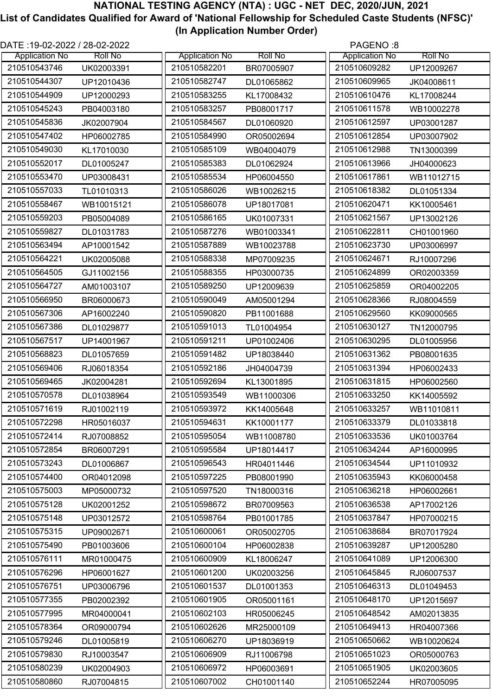| DATE: 19-02-2022 / 28-02-2022 |                       | PAGENO:8              |
|-------------------------------|-----------------------|-----------------------|
| <b>Application No</b>         | <b>Roll No</b>        | <b>Roll No</b>        |
| <b>Roll No</b>                | <b>Application No</b> | <b>Application No</b> |
| 210510543746                  | 210510582201          | 210510609282          |
| UK02003391                    | BR07005907            | UP12009267            |
| 210510544307                  | 210510582747          | 210510609965          |
| UP12010436                    | DL01065862            | JK04008611            |
| 210510544909                  | 210510583255          | 210510610476          |
| UP12000293                    | KL17008432            | KL17008244            |
| 210510545243                  | 210510583257          | 210510611578          |
| PB04003180                    | PB08001717            | WB10002278            |
| 210510545836                  | 210510584567          | 210510612597          |
| JK02007904                    | DL01060920            | UP03001287            |
| 210510547402                  | 210510584990          | 210510612854          |
| HP06002785                    | OR05002694            | UP03007902            |
| 210510549030                  | 210510585109          | 210510612988          |
| KL17010030                    | WB04004079            | TN13000399            |
| 210510552017                  | 210510585383          | 210510613966          |
| DL01005247                    | DL01062924            | JH04000623            |
| 210510553470                  | 210510585534          | 210510617861          |
| UP03008431                    | HP06004550            | WB11012715            |
| 210510557033                  | 210510586026          | 210510618382          |
| TL01010313                    | WB10026215            | DL01051334            |
| 210510558467                  | 210510586078          | 210510620471          |
| WB10015121                    | UP18017081            | KK10005461            |
| 210510559203                  | 210510586165          | 210510621567          |
| PB05004089                    | UK01007331            | UP13002126            |
| 210510559827                  | 210510587276          | 210510622811          |
| DL01031783                    | WB01003341            | CH01001960            |
| 210510563494                  | 210510587889          | 210510623730          |
| AP10001542                    | WB10023788            | UP03006997            |
| 210510564221                  | 210510588338          | 210510624671          |
| UK02005088                    | MP07009235            | RJ10007296            |
| 210510564505                  | 210510588355          | 210510624899          |
| GJ11002156                    | HP03000735            | OR02003359            |
| 210510564727                  | 210510589250          | 210510625859          |
| AM01003107                    | UP12009639            | OR04002205            |
| 210510566950                  | 210510590049          | 210510628366          |
| BR06000673                    | AM05001294            | RJ08004559            |
| 210510567306                  | 210510590820          | 210510629560          |
| AP16002240                    | PB11001688            | KK09000565            |
| 210510567386                  | 210510591013          | 210510630127          |
| DL01029877                    | TL01004954            | TN12000795            |
| 210510567517                  | 210510591211          | 210510630295          |
| UP14001967                    | UP01002406            | DL01005956            |
| 210510568823                  | 210510591482          | 210510631362          |
| DL01057659                    | UP18038440            | PB08001635            |
| 210510569406                  | 210510592186          | 210510631394          |
| RJ06018354                    | JH04004739            | HP06002433            |
| 210510569465                  | 210510592694          | 210510631815          |
| JK02004281                    | KL13001895            | HP06002560            |
| 210510570578                  | 210510593549          | 210510633250          |
| DL01038964                    | WB11000306            | KK14005592            |
| 210510571619                  | 210510593972          | 210510633257          |
| RJ01002119                    | KK14005648            | WB11010811            |
| 210510572298                  | 210510594631          | 210510633379          |
| HR05016037                    | KK10001177            | DL01033818            |
| 210510572414                  | 210510595054          | 210510633536          |
| RJ07008852                    | WB11008780            | UK01003764            |
| 210510572854                  | 210510595584          | 210510634244          |
| BR06007291                    | UP18014417            | AP16000995            |
| 210510573243                  | 210510596543          | 210510634544          |
| DL01006867                    | HR04011446            | UP11010932            |
| 210510574400                  | 210510597225          | 210510635943          |
| OR04012098                    | PB08001990            | KK06000458            |
| 210510575003                  | 210510597520          | 210510636218          |
| MP05000732                    | TN18000316            | HP06002661            |
| 210510575128                  | 210510598672          | 210510636538          |
| UK02001252                    | BR07009563            | AP17002126            |
| 210510575148                  | 210510598764          | 210510637847          |
| UP03012572                    | PB01001785            | HP07000215            |
| 210510575315                  | 210510600061          | 210510638684          |
| UP09002671                    | OR05002705            | BR07017924            |
| 210510575490                  | 210510600104          | 210510639287          |
| PB01003606                    | HP06002838            | UP12005280            |
| 210510576111                  | 210510600909          | 210510641089          |
| MR01000475                    | KL18006247            | UP12006300            |
| 210510576296                  | 210510601200          | 210510645845          |
| HP06001627                    | UK02003256            | RJ06007537            |
| 210510576751                  | 210510601537          | 210510646313          |
| UP03006796                    | DL01001353            | DL01049453            |
| 210510577355                  | 210510601905          | 210510648170          |
| PB02002392                    | OR05001161            | UP12015697            |
| 210510577995                  | 210510602103          | 210510648542          |
| MR04000041                    | HR05006245            | AM02013835            |
| 210510578364                  | 210510602626          | 210510649413          |
| OR09000794                    | MR25000109            | HR04007366            |
| 210510579246                  | 210510606270          | 210510650662          |
| DL01005819                    | UP18036919            | WB10020624            |
| 210510579830                  | 210510606909          | 210510651023          |
| RJ10003547                    | RJ11006798            | OR05000763            |
| 210510580239                  | 210510606972          | 210510651905          |
| UK02004903                    | HP06003691            | UK02003605            |
| 210510580860                  | 210510607002          | 210510652244          |
| RJ07004815                    | CH01001140            | HR07005095            |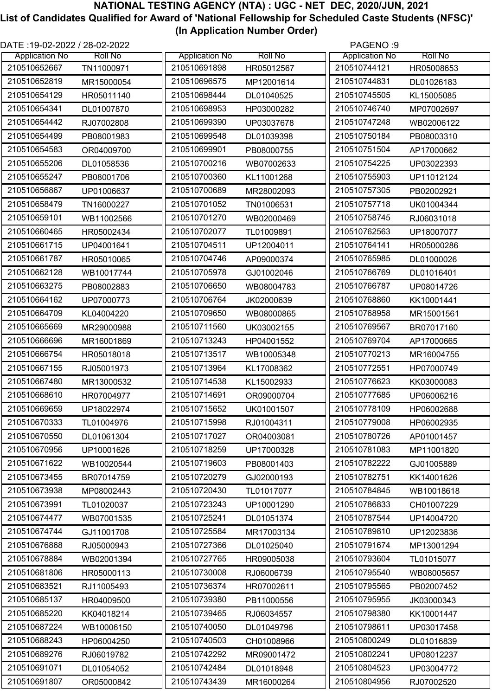| DATE :19-02-2022 / 28-02-2022 |                |                       |                | PAGENO:9              |                |
|-------------------------------|----------------|-----------------------|----------------|-----------------------|----------------|
| <b>Application No</b>         | <b>Roll No</b> | <b>Application No</b> | <b>Roll No</b> | <b>Application No</b> | <b>Roll No</b> |
| 210510652667                  | TN11000971     | 210510691898          | HR05012567     | 210510744121          | HR05008653     |
| 210510652819                  | MR15000054     | 210510696575          | MP12001614     | 210510744831          | DL01026183     |
| 210510654129                  | HR05011140     | 210510698444          | DL01040525     | 210510745505          | KL15005085     |
| 210510654341                  | DL01007870     | 210510698953          | HP03000282     | 210510746740          | MP07002697     |
| 210510654442                  | RJ07002808     | 210510699390          | UP03037678     | 210510747248          | WB02006122     |
| 210510654499                  | PB08001983     | 210510699548          | DL01039398     | 210510750184          | PB08003310     |
| 210510654583                  | OR04009700     | 210510699901          | PB08000755     | 210510751504          | AP17000662     |
| 210510655206                  | DL01058536     | 210510700216          | WB07002633     | 210510754225          | UP03022393     |
| 210510655247                  | PB08001706     | 210510700360          | KL11001268     | 210510755903          | UP11012124     |
| 210510656867                  | UP01006637     | 210510700689          | MR28002093     | 210510757305          | PB02002921     |
| 210510658479                  | TN16000227     | 210510701052          | TN01006531     | 210510757718          | UK01004344     |
| 210510659101                  | WB11002566     | 210510701270          | WB02000469     | 210510758745          | RJ06031018     |
| 210510660465                  | HR05002434     | 210510702077          | TL01009891     | 210510762563          | UP18007077     |
| 210510661715                  | UP04001641     | 210510704511          | UP12004011     | 210510764141          | HR05000286     |
| 210510661787                  | HR05010065     | 210510704746          | AP09000374     | 210510765985          | DL01000026     |
| 210510662128                  | WB10017744     | 210510705978          | GJ01002046     | 210510766769          | DL01016401     |
| 210510663275                  | PB08002883     | 210510706650          | WB08004783     | 210510766787          | UP08014726     |
| 210510664162                  | UP07000773     | 210510706764          | JK02000639     | 210510768860          | KK10001441     |
| 210510664709                  | KL04004220     | 210510709650          | WB08000865     | 210510768958          | MR15001561     |
| 210510665669                  | MR29000988     | 210510711560          | UK03002155     | 210510769567          | BR07017160     |
| 210510666696                  | MR16001869     | 210510713243          | HP04001552     | 210510769704          | AP17000665     |
| 210510666754                  | HR05018018     | 210510713517          | WB10005348     | 210510770213          | MR16004755     |
| 210510667155                  | RJ05001973     | 210510713964          | KL17008362     | 210510772551          | HP07000749     |
| 210510667480                  | MR13000532     | 210510714538          | KL15002933     | 210510776623          | KK03000083     |
| 210510668610                  | HR07004977     | 210510714691          | OR09000704     | 210510777685          | UP06006216     |
| 210510669659                  | UP18022974     | 210510715652          | UK01001507     | 210510778109          | HP06002688     |
| 210510670333                  | TL01004976     | 210510715998          | RJ01004311     | 210510779008          | HP06002935     |
| 210510670550                  | DL01061304     | 210510717027          | OR04003081     | 210510780726          | AP01001457     |
| 210510670956                  | UP10001626     | 210510718259          | UP17000328     | 210510781083          | MP11001820     |
| 210510671622                  | WB10020544     | 210510719603          | PB08001403     | 210510782222          | GJ01005889     |
| 210510673455                  | BR07014759     | 210510720279          | GJ02000193     | 210510782751          | KK14001626     |
| 210510673938                  | MP08002443     | 210510720430          | TL01017077     | 210510784845          | WB10018618     |
| 210510673991                  | TL01020037     | 210510723243          | UP10001290     | 210510786833          | CH01007229     |
| 210510674477                  | WB07001535     | 210510725241          | DL01051374     | 210510787544          | UP14004720     |
| 210510674744                  | GJ11001708     | 210510725584          | MR17003134     | 210510789810          | UP12023836     |
| 210510676868                  | RJ05000943     | 210510727366          | DL01025040     | 210510791674          | MP13001294     |
| 210510678884                  | WB02001394     | 210510727765          | HR09005038     | 210510793604          | TL01015077     |
| 210510681806                  | HR05000113     | 210510730008          | RJ06006739     | 210510795540          | WB08005657     |
| 210510683521                  | RJ11005493     | 210510736374          | HR07002611     | 210510795565          | PB02007452     |
| 210510685137                  | HR04009500     | 210510739380          | PB11000556     | 210510795955          | JK03000343     |
| 210510685220                  | KK04018214     | 210510739465          | RJ06034557     | 210510798380          | KK10001447     |
| 210510687224                  | WB10006150     | 210510740050          | DL01049796     | 210510798611          | UP03017458     |
| 210510688243                  | HP06004250     | 210510740503          | CH01008966     | 210510800249          | DL01016839     |
| 210510689276                  | RJ06019782     | 210510742292          | MR09001472     | 210510802241          | UP08012237     |
| 210510691071                  | DL01054052     | 210510742484          | DL01018948     | 210510804523          | UP03004772     |
| 210510691807                  | OR05000842     | 210510743439          | MR16000264     | 210510804956          | RJ07002520     |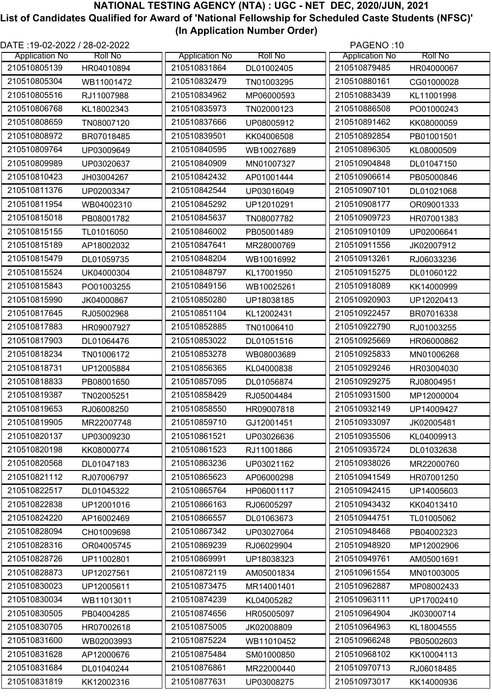| DATE: 19-02-2022 / 28-02-2022 |                       | PAGENO:10             |
|-------------------------------|-----------------------|-----------------------|
| <b>Application No</b>         | <b>Roll No</b>        | <b>Roll No</b>        |
| <b>Roll No</b>                | <b>Application No</b> | <b>Application No</b> |
| 210510805139                  | 210510831864          | 210510879485          |
| HR04010894                    | DL01002405            | HR04000067            |
| 210510805304                  | 210510832479          | 210510880161          |
| WB11001472                    | TN01003295            | CG01000028            |
| 210510805516                  | 210510834962          | 210510883439          |
| RJ11007988                    | MP06000593            | KL11001998            |
| 210510806768                  | 210510835973          | 210510886508          |
| KL18002343                    | TN02000123            | PO01000243            |
| 210510808659                  | 210510837666          | 210510891462          |
| TN08007120                    | UP08005912            | KK08000059            |
| 210510808972                  | 210510839501          | 210510892854          |
| BR07018485                    | KK04006508            | PB01001501            |
| 210510809764                  | 210510840595          | 210510896305          |
| UP03009649                    | WB10027689            | KL08000509            |
| 210510809989                  | 210510840909          | 210510904848          |
| UP03020637                    | MN01007327            | DL01047150            |
| 210510810423                  | 210510842432          | 210510906614          |
| JH03004267                    | AP01001444            | PB05000846            |
| 210510811376                  | 210510842544          | 210510907101          |
| UP02003347                    | UP03016049            | DL01021068            |
| 210510811954                  | 210510845292          | 210510908177          |
| WB04002310                    | UP12010291            | OR09001333            |
| 210510815018                  | 210510845637          | 210510909723          |
| PB08001782                    | TN08007782            | HR07001383            |
| 210510815155                  | 210510846002          | 210510910109          |
| TL01016050                    | PB05001489            | UP02006641            |
| 210510815189                  | 210510847641          | 210510911556          |
| AP18002032                    | MR28000769            | JK02007912            |
| 210510815479                  | 210510848204          | 210510913261          |
| DL01059735                    | WB10016992            | RJ06033236            |
| 210510815524                  | 210510848797          | 210510915275          |
| UK04000304                    | KL17001950            | DL01060122            |
| 210510815843                  | 210510849156          | 210510918089          |
| PO01003255                    | WB10025261            | KK14000999            |
| 210510815990                  | 210510850280          | 210510920903          |
| JK04000867                    | UP18038185            | UP12020413            |
| 210510817645                  | 210510851104          | 210510922457          |
| RJ05002968                    | KL12002431            | BR07016338            |
| 210510817883                  | 210510852885          | 210510922790          |
| HR09007927                    | TN01006410            | RJ01003255            |
| 210510817903                  | 210510853022          | 210510925669          |
| DL01064476                    | DL01051516            | HR06000862            |
| 210510818234                  | 210510853278          | 210510925833          |
| TN01006172                    | WB08003689            | MN01006268            |
| 210510818731                  | 210510856365          | 210510929246          |
| UP12005884                    | KL04000838            | HR03004030            |
| 210510818833                  | 210510857095          | 210510929275          |
| PB08001650                    | DL01056874            | RJ08004951            |
| 210510819387                  | 210510858429          | 210510931500          |
| TN02005251                    | RJ05004484            | MP12000004            |
| 210510819653                  | 210510858550          | 210510932149          |
| RJ06008250                    | HR09007818            | UP14009427            |
| 210510819905                  | 210510859710          | 210510933097          |
| MR22007748                    | GJ12001451            | JK02005481            |
| 210510820137                  | 210510861521          | 210510935506          |
| UP03009230                    | UP03026636            | KL04009913            |
| 210510820198                  | 210510861523          | 210510935724          |
| KK08000774                    | RJ11001866            | DL01032638            |
| 210510820568                  | 210510863236          | 210510938026          |
| DL01047183                    | UP03021162            | MR22000760            |
| 210510821112                  | 210510865623          | 210510941549          |
| RJ07006797                    | AP06000298            | HR07001250            |
| 210510822517                  | 210510865764          | 210510942415          |
| DL01045322                    | HP06001117            | UP14005603            |
| 210510822838                  | 210510866163          | 210510943432          |
| UP12001016                    | RJ06005297            | KK04013410            |
| 210510824220                  | 210510866557          | 210510944751          |
| AP16002469                    | DL01063673            | TL01005062            |
| 210510828094                  | 210510867342          | 210510948468          |
| CH01009698                    | UP03027064            | PB04002323            |
| 210510828316                  | 210510869239          | 210510948920          |
| OR04005745                    | RJ06029904            | MP12002906            |
| 210510828726                  | 210510869991          | 210510949761          |
| UP11002801                    | UP18038323            | AM05001691            |
| 210510828873                  | 210510872119          | 210510961554          |
| UP12027561                    | AM05001834            | MN01003005            |
| 210510830023                  | 210510873475          | 210510962887          |
| UP12005611                    | MR14001401            | MP08002433            |
| 210510830034                  | 210510874239          | 210510963111          |
| WB11013011                    | KL04005282            | UP17002410            |
| 210510830505                  | 210510874656          | 210510964904          |
| PB04004285                    | HR05005097            | JK03000714            |
| 210510830705                  | 210510875005          | 210510964963          |
| HR07002618                    | JK02008809            | KL18004555            |
| 210510831600                  | 210510875224          | 210510966248          |
| WB02003993                    | WB11010452            | PB05002603            |
| 210510831628                  | 210510875484          | 210510968102          |
| AP12000676                    | SM01000850            | KK10004113            |
| 210510831684                  | 210510876861          | 210510970713          |
| DL01040244                    | MR22000440            | RJ06018485            |
| 210510831819                  | 210510877631          | 210510973017          |
| KK12002316                    | UP03008275            | KK14000936            |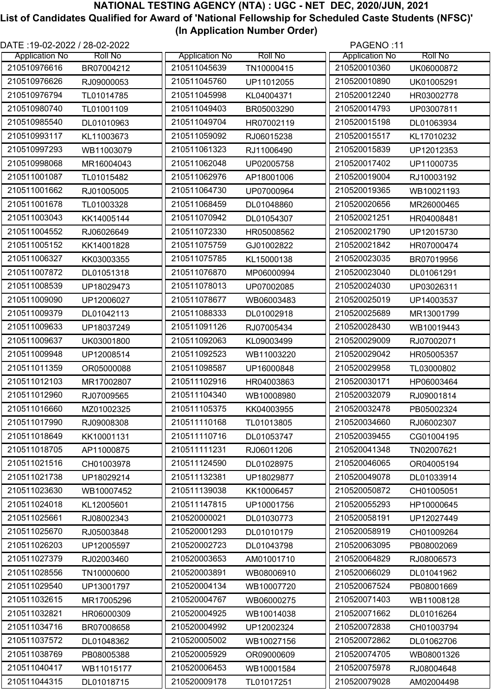| DATE: 19-02-2022 / 28-02-2022 |                                          | PAGENO:11                  |
|-------------------------------|------------------------------------------|----------------------------|
| <b>Application No</b>         | <b>Roll No</b>                           | <b>Roll No</b>             |
| <b>Roll No</b>                | <b>Application No</b>                    | <b>Application No</b>      |
| 210510976616                  | 210511045639                             | 210520010360               |
| BR07004212                    | TN10000415                               | UK06000872                 |
| 210510976626                  | 210511045760                             | 210520010890               |
| RJ09000053                    | UP11012055                               | UK01005291                 |
| 210510976794                  | 210511045998                             | 210520012240               |
| TL01014785                    | KL04004371                               | HR03002778                 |
| 210510980740                  | 210511049403                             | 210520014793               |
| TL01001109                    | BR05003290                               | UP03007811                 |
| 210510985540                  | 210511049704                             | 210520015198               |
| DL01010963                    | HR07002119                               | DL01063934                 |
| 210510993117                  | 210511059092                             | 210520015517               |
| KL11003673                    | RJ06015238                               | KL17010232                 |
| 210510997293                  | 210511061323                             | 210520015839               |
| WB11003079                    | RJ11006490                               | UP12012353                 |
| 210510998068                  | 210511062048                             | 210520017402               |
| MR16004043                    | UP02005758                               | UP11000735                 |
| 210511001087                  | 210511062976                             | 210520019004               |
| TL01015482                    | AP18001006                               | RJ10003192                 |
| 210511001662                  | 210511064730                             | 210520019365               |
| RJ01005005                    | UP07000964                               | WB10021193                 |
| 210511001678                  | 210511068459                             | 210520020656               |
| TL01003328                    | DL01048860                               | MR26000465                 |
| 210511003043                  | 210511070942                             | 210520021251               |
| KK14005144                    | DL01054307                               | HR04008481                 |
| 210511004552                  | 210511072330                             | 210520021790               |
| RJ06026649                    | HR05008562                               | UP12015730                 |
| 210511005152                  | 210511075759                             | 210520021842               |
| KK14001828                    | GJ01002822                               | HR07000474                 |
| 210511006327                  | 210511075785                             | 210520023035               |
| KK03003355                    | KL15000138                               | BR07019956                 |
| 210511007872                  | 210511076870                             | 210520023040               |
| DL01051318                    | MP06000994                               | DL01061291                 |
| 210511008539                  | 210511078013                             | 210520024030               |
| UP18029473                    | UP07002085                               | UP03026311                 |
| 210511009090                  | 210511078677                             | 210520025019               |
| UP12006027                    | WB06003483                               | UP14003537                 |
| 210511009379                  | 210511088333                             | 210520025689               |
| DL01042113                    | DL01002918                               | MR13001799                 |
| 210511009633                  | 210511091126                             | 210520028430               |
| UP18037249                    | RJ07005434                               | WB10019443                 |
| 210511009637                  | 210511092063                             | 210520029009               |
| UK03001800                    | KL09003499                               | RJ07002071                 |
| 210511009948                  | 210511092523                             | 210520029042               |
| UP12008514                    | WB11003220                               | HR05005357                 |
| 210511011359                  | 210511098587                             | 210520029958               |
| OR05000088                    | UP16000848                               | TL03000802                 |
| 210511012103                  | 210511102916                             | 210520030171               |
| MR17002807                    | HR04003863                               | HP06003464                 |
| 210511012960                  | 210511104340                             | 210520032079               |
| RJ07009565                    | WB10008980                               | RJ09001814                 |
| 210511016660                  | 210511105375                             | 210520032478               |
| MZ01002325                    | KK04003955                               | PB05002324                 |
| 210511017990                  | 210511110168                             | 210520034660               |
| RJ09008308                    | TL01013805                               | RJ06002307                 |
| 210511018649                  | 210511110716                             | 210520039455               |
| KK10001131                    | DL01053747                               | CG01004195                 |
| 210511018705                  | 210511111231                             | 210520041348               |
| AP11000875                    | RJ06011206                               | TN02007621                 |
| 210511021516                  | 210511124590                             | 210520046065               |
| CH01003978                    | DL01028975                               | OR04005194                 |
| 210511021738                  | 210511132381                             | 210520049078               |
| UP18029214                    | UP18029877                               | DL01033914                 |
| 210511023630                  | 210511139038                             | 210520050872               |
| WB10007452                    | KK10006457                               | CH01005051                 |
| 210511024018                  | 210511147815                             | 210520055293               |
| KL12005601                    | UP10001756                               | HP10000645                 |
| 210511025661                  | 210520000021                             | 210520058191               |
| RJ08002343<br>210511025670    | DL01030773<br>210520001293<br>DL01010179 | UP12027449<br>210520058919 |
| RJ05003848<br>210511026203    | 210520002723                             | CH01009264<br>210520063095 |
| UP12005597                    | DL01043798                               | PB08002069                 |
| 210511027379                  | 210520003653                             | 210520064829               |
| RJ02003460                    | AM01001710                               | RJ08006573                 |
| 210511028556                  | 210520003891                             | 210520066029               |
| TN10000600                    | WB08006910                               | DL01041962                 |
| 210511029540                  | 210520004134                             | 210520067524               |
| UP13001797                    | WB10007720                               | PB08001669                 |
| 210511032615                  | 210520004767                             | 210520071403               |
| MR17005296                    | WB06000275                               | WB11008128                 |
| 210511032821                  | 210520004925                             | 210520071662               |
| HR06000309                    | WB10014038                               | DL01016264                 |
| 210511034716                  | 210520004992                             | 210520072838               |
| BR07008658                    | UP12002324                               | CH01003794                 |
| 210511037572                  | 210520005002                             | 210520072862               |
| DL01048362                    | WB10027156                               | DL01062706                 |
| 210511038769                  | 210520005929                             | 210520074705               |
| PB08005388                    | OR09000609                               | WB08001326                 |
| 210511040417                  | 210520006453                             | 210520075978               |
| WB11015177                    | WB10001584                               | RJ08004648                 |
| 210511044315                  | 210520009178                             | 210520079028               |
| DL01018715                    | TL01017251                               | AM02004498                 |